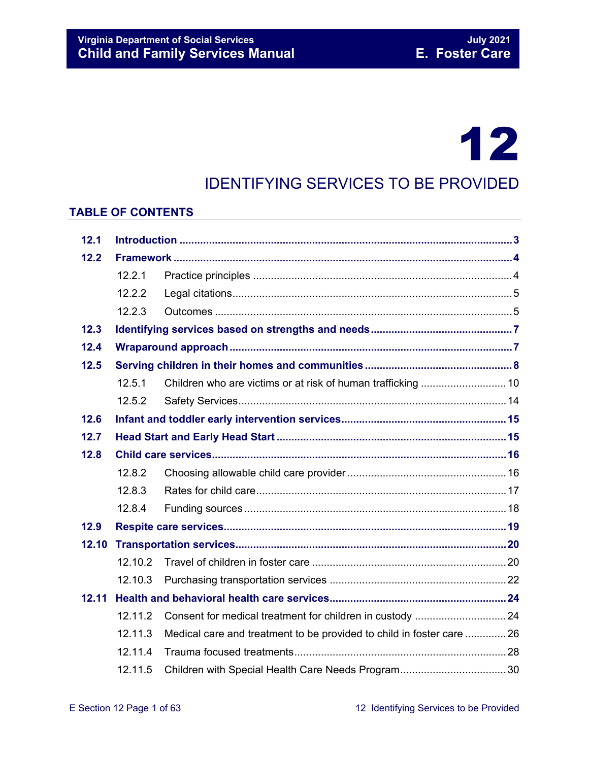# 12

## IDENTIFYING SERVICES TO BE PROVIDED

#### **TABLE OF CONTENTS**

| 12.1  |         |                                                                      |  |  |  |
|-------|---------|----------------------------------------------------------------------|--|--|--|
| 12.2  |         |                                                                      |  |  |  |
|       | 12.2.1  |                                                                      |  |  |  |
|       | 12.2.2  |                                                                      |  |  |  |
|       | 12.2.3  |                                                                      |  |  |  |
| 12.3  |         |                                                                      |  |  |  |
| 12.4  |         |                                                                      |  |  |  |
| 12.5  |         |                                                                      |  |  |  |
|       | 12.5.1  |                                                                      |  |  |  |
|       | 12.5.2  |                                                                      |  |  |  |
| 12.6  |         |                                                                      |  |  |  |
| 12.7  |         |                                                                      |  |  |  |
| 12.8  |         |                                                                      |  |  |  |
|       | 12.8.2  |                                                                      |  |  |  |
|       | 12.8.3  |                                                                      |  |  |  |
|       | 12.8.4  |                                                                      |  |  |  |
| 12.9  |         |                                                                      |  |  |  |
| 12.10 |         |                                                                      |  |  |  |
|       | 12.10.2 |                                                                      |  |  |  |
|       | 12.10.3 |                                                                      |  |  |  |
| 12.11 |         |                                                                      |  |  |  |
|       | 12.11.2 |                                                                      |  |  |  |
|       | 12.11.3 | Medical care and treatment to be provided to child in foster care 26 |  |  |  |
|       | 12.11.4 |                                                                      |  |  |  |
|       | 12.11.5 |                                                                      |  |  |  |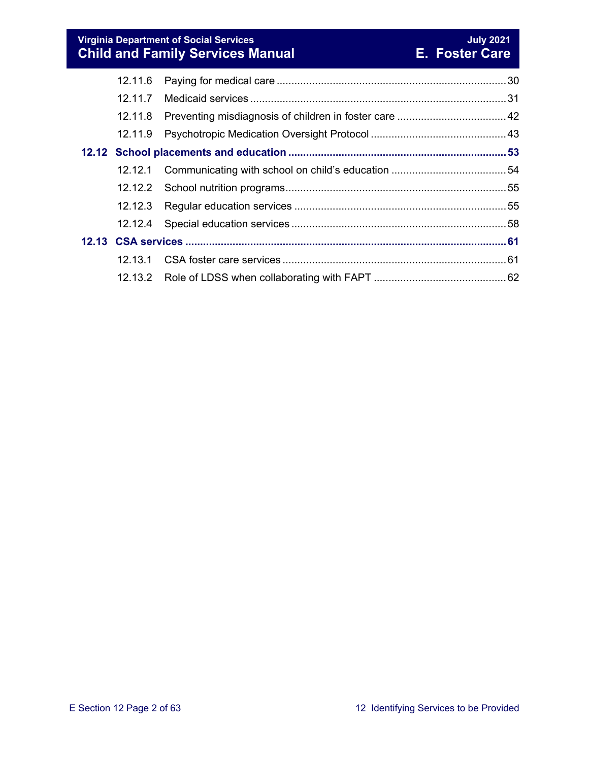**Virginia Department of Social Services July 2021 Child and Family Services Manual E. Foster Care**

| 12.11.6 |  |
|---------|--|
|         |  |
| 12.11.8 |  |
| 12.11.9 |  |
|         |  |
| 12.12.1 |  |
|         |  |
|         |  |
|         |  |
|         |  |
|         |  |
|         |  |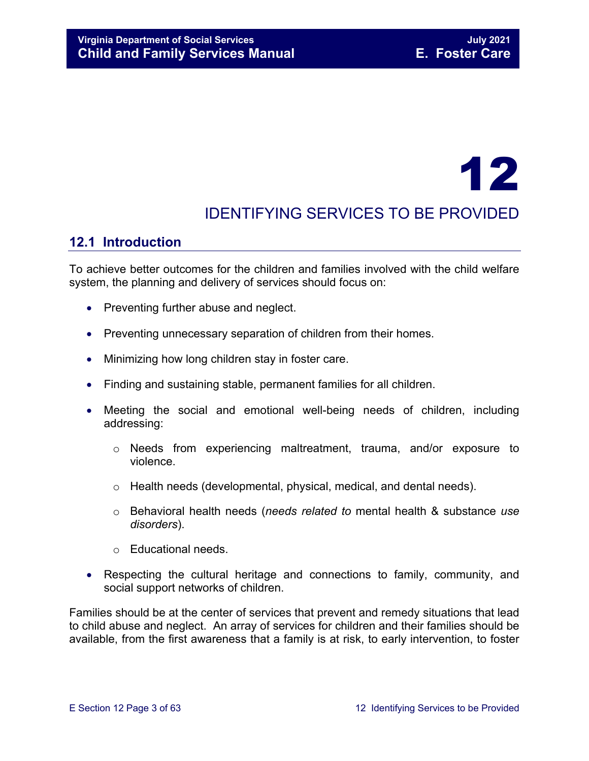# 12

## IDENTIFYING SERVICES TO BE PROVIDED

### <span id="page-2-0"></span>**12.1 Introduction**

To achieve better outcomes for the children and families involved with the child welfare system, the planning and delivery of services should focus on:

- Preventing further abuse and neglect.
- Preventing unnecessary separation of children from their homes.
- Minimizing how long children stay in foster care.
- Finding and sustaining stable, permanent families for all children.
- Meeting the social and emotional well-being needs of children, including addressing:
	- o Needs from experiencing maltreatment, trauma, and/or exposure to violence.
	- o Health needs (developmental, physical, medical, and dental needs).
	- o Behavioral health needs (*needs related to* mental health & substance *use disorders*).
	- o Educational needs.
- Respecting the cultural heritage and connections to family, community, and social support networks of children.

Families should be at the center of services that prevent and remedy situations that lead to child abuse and neglect. An array of services for children and their families should be available, from the first awareness that a family is at risk, to early intervention, to foster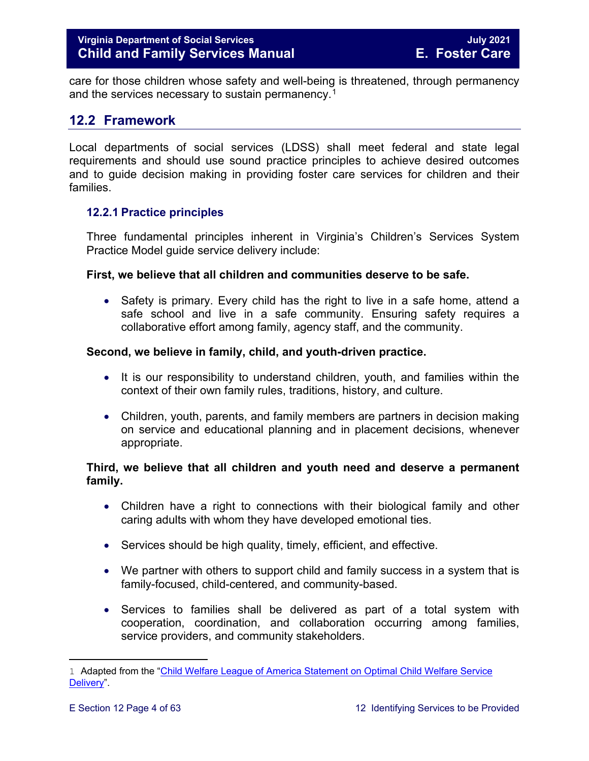care for those children whose safety and well-being is threatened, through permanency and the services necessary to sustain permanency.<sup>[1](#page-3-2)</sup>

#### <span id="page-3-0"></span>**12.2 Framework**

Local departments of social services (LDSS) shall meet federal and state legal requirements and should use sound practice principles to achieve desired outcomes and to guide decision making in providing foster care services for children and their families.

#### <span id="page-3-1"></span>**12.2.1 Practice principles**

Three fundamental principles inherent in Virginia's Children's Services System Practice Model guide service delivery include:

#### **First, we believe that all children and communities deserve to be safe.**

• Safety is primary. Every child has the right to live in a safe home, attend a safe school and live in a safe community. Ensuring safety requires a collaborative effort among family, agency staff, and the community.

#### **Second, we believe in family, child, and youth-driven practice.**

- It is our responsibility to understand children, youth, and families within the context of their own family rules, traditions, history, and culture.
- Children, youth, parents, and family members are partners in decision making on service and educational planning and in placement decisions, whenever appropriate.

#### **Third, we believe that all children and youth need and deserve a permanent family.**

- Children have a right to connections with their biological family and other caring adults with whom they have developed emotional ties.
- Services should be high quality, timely, efficient, and effective.
- We partner with others to support child and family success in a system that is family-focused, child-centered, and community-based.
- Services to families shall be delivered as part of a total system with cooperation, coordination, and collaboration occurring among families, service providers, and community stakeholders.

<span id="page-3-2"></span>Ĩ. 1 Adapted from the ["Child Welfare League of America Statement on Optimal Child Welfare Service](http://www.cwla.org/advocacy/financingoptimaldeliv.htm)  [Delivery"](http://www.cwla.org/advocacy/financingoptimaldeliv.htm).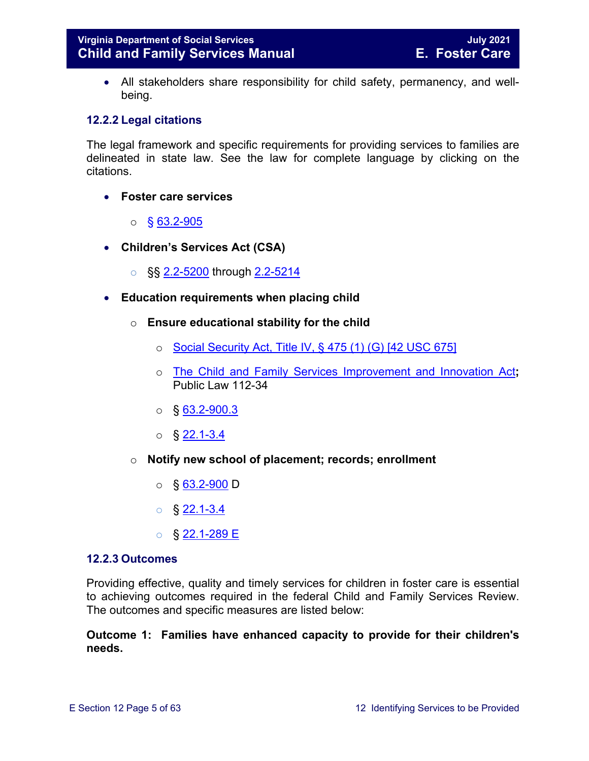• All stakeholders share responsibility for child safety, permanency, and wellbeing.

#### <span id="page-4-0"></span>**12.2.2 Legal citations**

The legal framework and specific requirements for providing services to families are delineated in state law. See the law for complete language by clicking on the citations.

- **Foster care services** 
	- $\circ$  § 63.2-905
- **Children's Services Act (CSA)**
	- §§ [2.2-5200](https://law.lis.virginia.gov/vacode/2.2-5200/) through [2.2-5214](https://law.lis.virginia.gov/vacode/2.2-5214/)
- **Education requirements when placing child**
	- o **Ensure educational stability for the child**
		- $\circ$  [Social Security Act, Title IV, § 475 \(1\) \(G\) \[42 USC 675\]](http://www.ssa.gov/OP_Home/ssact/title04/0475.htm)
		- o [The Child and Family Services Improvement and Innovation Act](http://www.gpo.gov/fdsys/pkg/PLAW-112publ34/html/PLAW-112publ34.htm)**;**  Public Law 112-34
		- $\circ$  § [63.2-900.3](https://law.lis.virginia.gov/vacode/63.2-900.3/)
		- $\circ$  § 22.1-3.4
	- o **Notify new school of placement; records; enrollment**
		- $\circ$  § [63.2-900](https://law.lis.virginia.gov/vacode/63.2-900/) D
		- $\circ$  § [22.1-3.4](https://law.lis.virginia.gov/vacode/22.1-3.4/)
		- o § [22.1-289 E](https://law.lis.virginia.gov/vacode/22.1-289/)

#### <span id="page-4-1"></span>**12.2.3 Outcomes**

Providing effective, quality and timely services for children in foster care is essential to achieving outcomes required in the federal Child and Family Services Review. The outcomes and specific measures are listed below:

#### **Outcome 1: Families have enhanced capacity to provide for their children's needs.**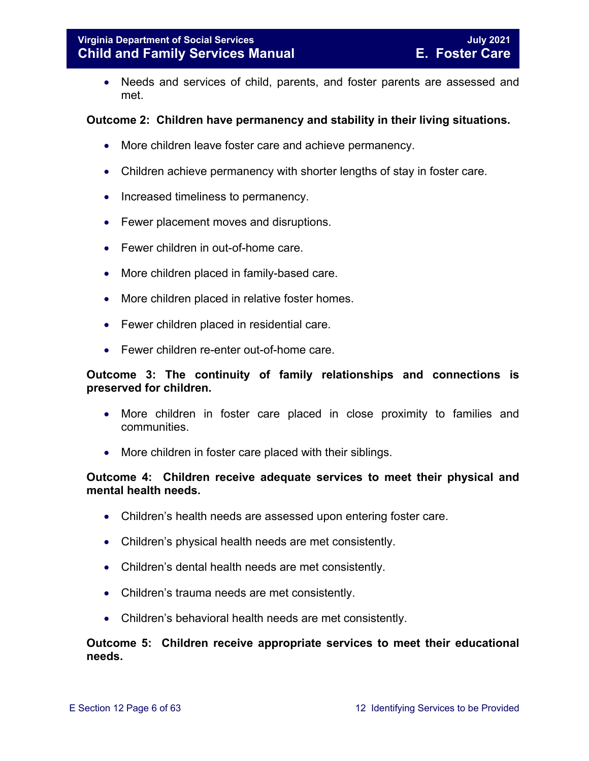• Needs and services of child, parents, and foster parents are assessed and met.

#### **Outcome 2: Children have permanency and stability in their living situations.**

- More children leave foster care and achieve permanency.
- Children achieve permanency with shorter lengths of stay in foster care.
- Increased timeliness to permanency.
- Fewer placement moves and disruptions.
- Fewer children in out-of-home care.
- More children placed in family-based care.
- More children placed in relative foster homes.
- Fewer children placed in residential care.
- Fewer children re-enter out-of-home care.

#### **Outcome 3: The continuity of family relationships and connections is preserved for children.**

- More children in foster care placed in close proximity to families and communities.
- More children in foster care placed with their siblings.

#### **Outcome 4: Children receive adequate services to meet their physical and mental health needs.**

- Children's health needs are assessed upon entering foster care.
- Children's physical health needs are met consistently.
- Children's dental health needs are met consistently.
- Children's trauma needs are met consistently.
- Children's behavioral health needs are met consistently.

#### **Outcome 5: Children receive appropriate services to meet their educational needs.**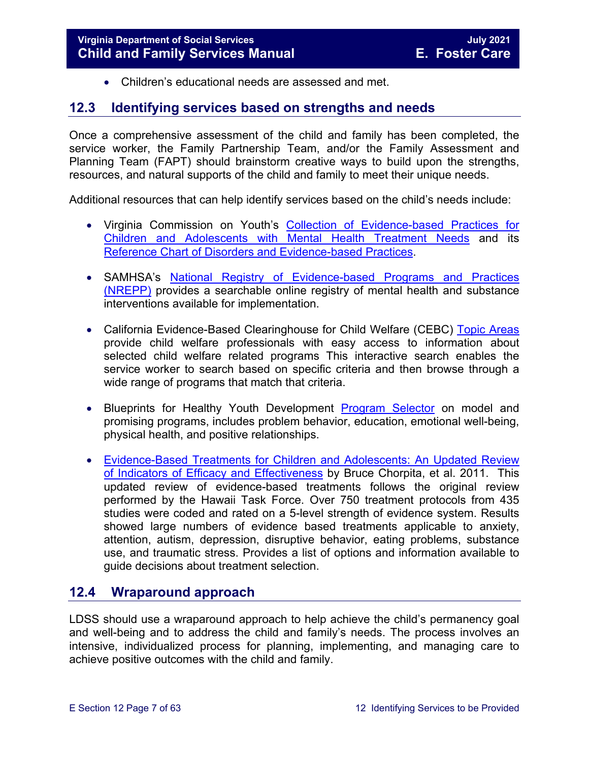<span id="page-6-0"></span>• Children's educational needs are assessed and met.

#### <span id="page-6-2"></span>**12.3 Identifying services based on strengths and needs**

Once a comprehensive assessment of the child and family has been completed, the service worker, the Family Partnership Team, and/or the Family Assessment and Planning Team (FAPT) should brainstorm creative ways to build upon the strengths, resources, and natural supports of the child and family to meet their unique needs.

Additional resources that can help identify services based on the child's needs include:

- Virginia Commission on Youth's [Collection of Evidence-based Practices for](http://vcoy.virginia.gov/collection.asp)  [Children and Adolescents with Mental Health Treatment Needs](http://vcoy.virginia.gov/collection.asp) and its [Reference Chart of Disorders and Evidence-based Practices.](http://vcoy.virginia.gov/documents/collection/Reference_Chart.pdf)
- SAMHSA's [National Registry of Evidence-based Programs and Practices](https://www.samhsa.gov/capt/tools-learning-resources/finding-evidence-based-programs)  [\(NREPP\)](https://www.samhsa.gov/capt/tools-learning-resources/finding-evidence-based-programs) provides a searchable online registry of mental health and substance interventions available for implementation.
- California Evidence-Based Clearinghouse for Child Welfare (CEBC) Topic Areas provide child welfare professionals with easy access to information about selected child welfare related programs This interactive search enables the service worker to search based on specific criteria and then browse through a wide range of programs that match that criteria.
- Blueprints for Healthy Youth Development [Program Selector](http://www.blueprintsprograms.com/programSelector.php) on model and promising programs, includes problem behavior, education, emotional well-being, physical health, and positive relationships.
- [Evidence-Based Treatments for Children and Adolescents: An Updated Review](http://www.childfirst.ucla.edu/Chorpita%20et%20al%20(2011)-Evidence-Based%20Treatment%20for%20Children.pdf)  [of Indicators of Efficacy and Effectiveness](http://www.childfirst.ucla.edu/Chorpita%20et%20al%20(2011)-Evidence-Based%20Treatment%20for%20Children.pdf) by Bruce Chorpita, et al. 2011. This updated review of evidence-based treatments follows the original review performed by the Hawaii Task Force. Over 750 treatment protocols from 435 studies were coded and rated on a 5-level strength of evidence system. Results showed large numbers of evidence based treatments applicable to anxiety, attention, autism, depression, disruptive behavior, eating problems, substance use, and traumatic stress. Provides a list of options and information available to guide decisions about treatment selection.

#### <span id="page-6-1"></span>**12.4 Wraparound approach**

LDSS should use a wraparound approach to help achieve the child's permanency goal and well-being and to address the child and family's needs. The process involves an intensive, individualized process for planning, implementing, and managing care to achieve positive outcomes with the child and family.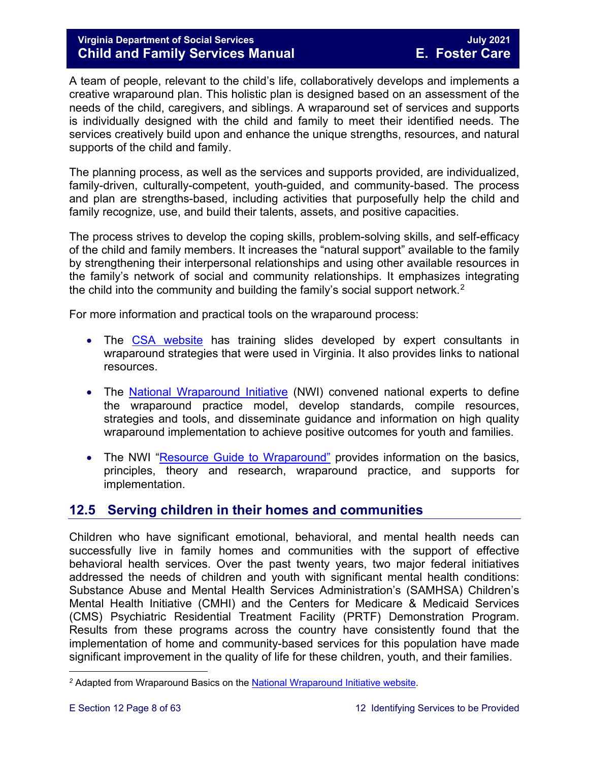#### **Virginia Department of Social Services July 2021 Child and Family Services Manual**

A team of people, relevant to the child's life, collaboratively develops and implements a creative wraparound plan. This holistic plan is designed based on an assessment of the needs of the child, caregivers, and siblings. A wraparound set of services and supports is individually designed with the child and family to meet their identified needs. The services creatively build upon and enhance the unique strengths, resources, and natural supports of the child and family.

The planning process, as well as the services and supports provided, are individualized, family-driven, culturally-competent, youth-guided, and community-based. The process and plan are strengths-based, including activities that purposefully help the child and family recognize, use, and build their talents, assets, and positive capacities.

The process strives to develop the coping skills, problem-solving skills, and self-efficacy of the child and family members. It increases the "natural support" available to the family by strengthening their interpersonal relationships and using other available resources in the family's network of social and community relationships. It emphasizes integrating the child into the community and building the family's social support network.[2](#page-7-1)

For more information and practical tools on the wraparound process:

- The [CSA website](http://www.csa.virginia.gov/html/systems_of_care/Wraparound_strategies.cfm) has training slides developed by expert consultants in wraparound strategies that were used in Virginia. It also provides links to national resources.
- The [National Wraparound Initiative](http://www.nwi.pdx.edu/) (NWI) convened national experts to define the wraparound practice model, develop standards, compile resources, strategies and tools, and disseminate guidance and information on high quality wraparound implementation to achieve positive outcomes for youth and families.
- The NWI ["Resource Guide to Wraparound"](http://www.nwi.pdx.edu/NWI-book/) provides information on the basics, principles, theory and research, wraparound practice, and supports for implementation.

#### <span id="page-7-0"></span>**12.5 Serving children in their homes and communities**

Children who have significant emotional, behavioral, and mental health needs can successfully live in family homes and communities with the support of effective behavioral health services. Over the past twenty years, two major federal initiatives addressed the needs of children and youth with significant mental health conditions: Substance Abuse and Mental Health Services Administration's (SAMHSA) Children's Mental Health Initiative (CMHI) and the Centers for Medicare & Medicaid Services (CMS) Psychiatric Residential Treatment Facility (PRTF) Demonstration Program. Results from these programs across the country have consistently found that the implementation of home and community-based services for this population have made significant improvement in the quality of life for these children, youth, and their families.

<span id="page-7-1"></span>t <sup>2</sup> Adapted from Wraparound Basics on the <u>National Wraparound Initiative website</u>.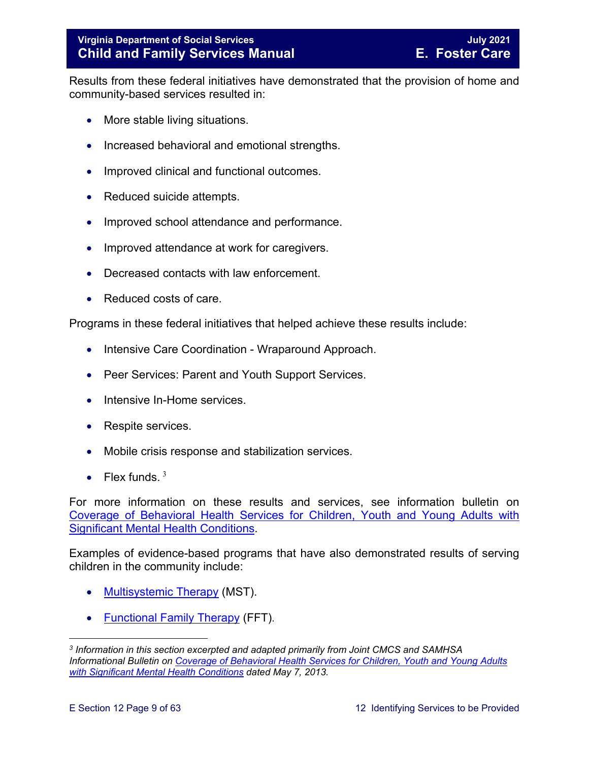Results from these federal initiatives have demonstrated that the provision of home and community-based services resulted in:

- More stable living situations.
- Increased behavioral and emotional strengths.
- Improved clinical and functional outcomes.
- Reduced suicide attempts.
- Improved school attendance and performance.
- Improved attendance at work for caregivers.
- Decreased contacts with law enforcement.
- Reduced costs of care.

Programs in these federal initiatives that helped achieve these results include:

- Intensive Care Coordination Wraparound Approach.
- Peer Services: Parent and Youth Support Services.
- Intensive In-Home services.
- Respite services.
- Mobile crisis response and stabilization services.
- Flex funds.  $3$

For more information on these results and services, see information bulletin on [Coverage of Behavioral Health Services for Children, Youth and Young Adults with](http://www.medicaid.gov/federal-policy-guidance/downloads/CIB-05-07-2013.pdf)  [Significant Mental Health Conditions.](http://www.medicaid.gov/federal-policy-guidance/downloads/CIB-05-07-2013.pdf)

Examples of evidence-based programs that have also demonstrated results of serving children in the community include:

- [Multisystemic](http://mstservices.com/index.php/what-is-mst) Therapy (MST).
- [Functional Family Therapy](http://fftllc.com/) (FFT).

<span id="page-8-0"></span>t *<sup>3</sup> Information in this section excerpted and adapted primarily from Joint CMCS and SAMHSA Informational Bulletin on Coverage [of Behavioral Health Services for Children, Youth and Young Adults](http://www.medicaid.gov/federal-policy-guidance/downloads/CIB-05-07-2013.pdf)  [with Significant Mental Health Conditions](http://www.medicaid.gov/federal-policy-guidance/downloads/CIB-05-07-2013.pdf) dated May 7, 2013.*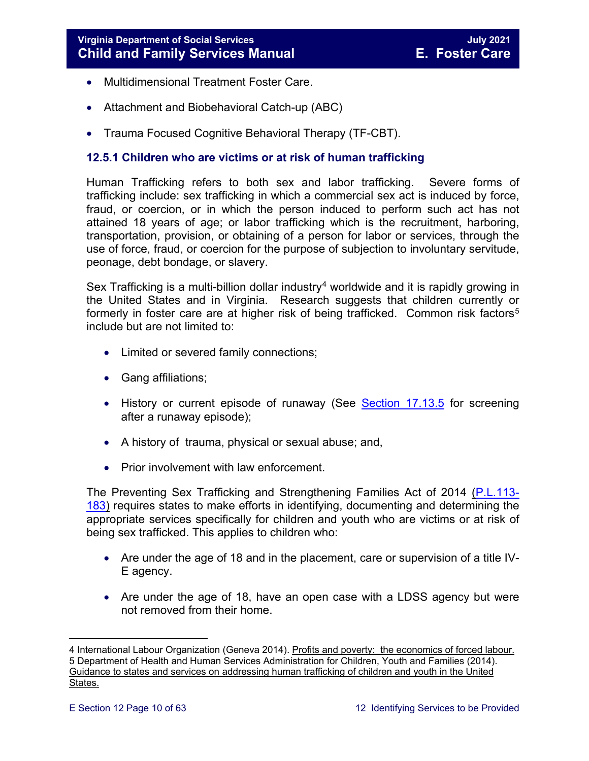- Multidimensional Treatment Foster Care.
- Attachment and Biobehavioral Catch-up (ABC)
- Trauma Focused Cognitive Behavioral Therapy (TF-CBT).

#### <span id="page-9-0"></span>**12.5.1 Children who are victims or at risk of human trafficking**

Human Trafficking refers to both sex and labor trafficking. Severe forms of trafficking include: sex trafficking in which a commercial sex act is induced by force, fraud, or coercion, or in which the person induced to perform such act has not attained 18 years of age; or labor trafficking which is the recruitment, harboring, transportation, provision, or obtaining of a person for labor or services, through the use of force, fraud, or coercion for the purpose of subjection to involuntary servitude, peonage, debt bondage, or slavery.

Sex Trafficking is a multi-billion dollar industry<sup>[4](#page-9-1)</sup> worldwide and it is rapidly growing in the United States and in Virginia. Research suggests that children currently or formerly in foster care are at higher risk of being trafficked. Common risk factors<sup>[5](#page-9-2)</sup> include but are not limited to:

- Limited or severed family connections;
- Gang affiliations;
- History or current episode of runaway (See [Section 17.13.5](https://fusion.dss.virginia.gov/Portals/%5bdfs%5d/Files/DFS%20Manuals/Foster%20Care%20Manuals/Foster%20Care%20Manual%2007-2020/Final%20Foster%20Care%20Manual%2007-2020/section_17_managing_foster_care_services.pdf#page=25) for screening after a runaway episode);
- A history of trauma, physical or sexual abuse; and,
- Prior involvement with law enforcement.

The Preventing Sex Trafficking and Strengthening Families Act of 2014 [\(P.L.113-](https://www.congress.gov/113/plaws/publ183/PLAW-113publ183.pdf) [183\)](https://www.congress.gov/113/plaws/publ183/PLAW-113publ183.pdf) requires states to make efforts in identifying, documenting and determining the appropriate services specifically for children and youth who are victims or at risk of being sex trafficked. This applies to children who:

- Are under the age of 18 and in the placement, care or supervision of a title IV-E agency.
- Are under the age of 18, have an open case with a LDSS agency but were not removed from their home.

<span id="page-9-2"></span><span id="page-9-1"></span>ī 4 International Labour Organization (Geneva 2014). <u>Profits and poverty: the economics of forced labour.</u> 5 Department of Health and Human Services Administration for Children, Youth and Families (2014). Guidance to states and services on addressing human trafficking of children and youth in the United States.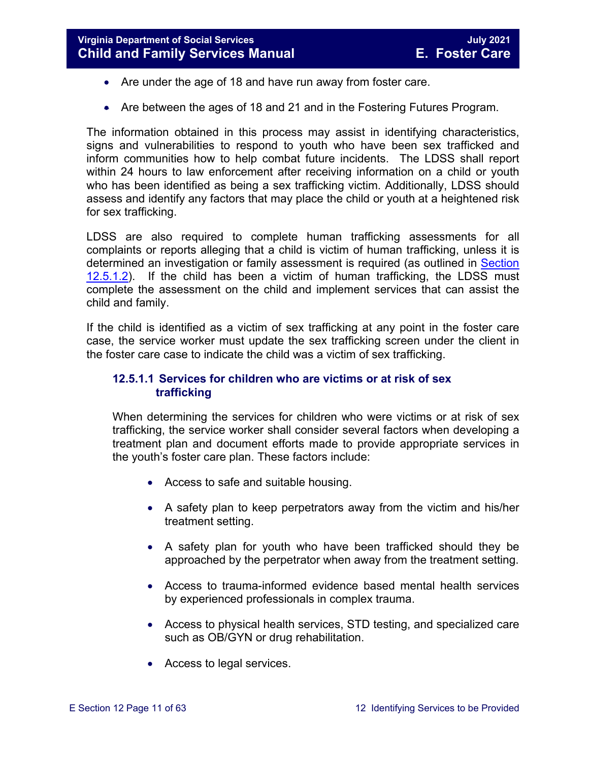- Are under the age of 18 and have run away from foster care.
- Are between the ages of 18 and 21 and in the Fostering Futures Program.

The information obtained in this process may assist in identifying characteristics, signs and vulnerabilities to respond to youth who have been sex trafficked and inform communities how to help combat future incidents. The LDSS shall report within 24 hours to law enforcement after receiving information on a child or youth who has been identified as being a sex trafficking victim. Additionally, LDSS should assess and identify any factors that may place the child or youth at a heightened risk for sex trafficking.

LDSS are also required to complete human trafficking assessments for all complaints or reports alleging that a child is victim of human trafficking, unless it is determined an investigation or family assessment is required (as outlined in [Section](#page-11-0)  [12.5.1.2\)](#page-11-0). If the child has been a victim of human trafficking, the LDSS must complete the assessment on the child and implement services that can assist the child and family.

If the child is identified as a victim of sex trafficking at any point in the foster care case, the service worker must update the sex trafficking screen under the client in the foster care case to indicate the child was a victim of sex trafficking.

#### **12.5.1.1 Services for children who are victims or at risk of sex trafficking**

When determining the services for children who were victims or at risk of sex trafficking, the service worker shall consider several factors when developing a treatment plan and document efforts made to provide appropriate services in the youth's foster care plan. These factors include:

- Access to safe and suitable housing.
- A safety plan to keep perpetrators away from the victim and his/her treatment setting.
- A safety plan for youth who have been trafficked should they be approached by the perpetrator when away from the treatment setting.
- Access to trauma-informed evidence based mental health services by experienced professionals in complex trauma.
- Access to physical health services, STD testing, and specialized care such as OB/GYN or drug rehabilitation.
- Access to legal services.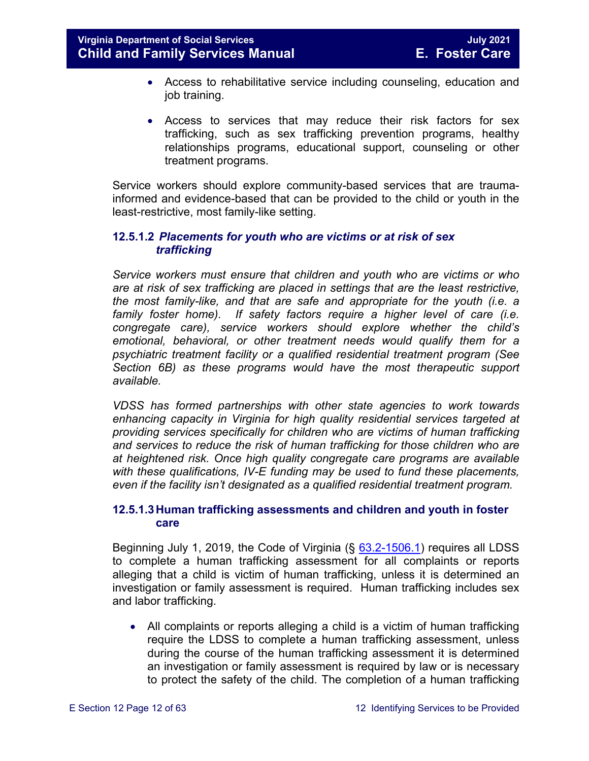- Access to rehabilitative service including counseling, education and job training.
- Access to services that may reduce their risk factors for sex trafficking, such as sex trafficking prevention programs, healthy relationships programs, educational support, counseling or other treatment programs.

Service workers should explore community-based services that are traumainformed and evidence-based that can be provided to the child or youth in the least-restrictive, most family-like setting.

#### <span id="page-11-0"></span>**12.5.1.2** *Placements for youth who are victims or at risk of sex trafficking*

*Service workers must ensure that children and youth who are victims or who are at risk of sex trafficking are placed in settings that are the least restrictive, the most family-like, and that are safe and appropriate for the youth (i.e. a family foster home). If safety factors require a higher level of care (i.e. congregate care), service workers should explore whether the child's emotional, behavioral, or other treatment needs would qualify them for a psychiatric treatment facility or a qualified residential treatment program (See Section 6B) as these programs would have the most therapeutic support available.* 

*VDSS has formed partnerships with other state agencies to work towards enhancing capacity in Virginia for high quality residential services targeted at providing services specifically for children who are victims of human trafficking and services to reduce the risk of human trafficking for those children who are at heightened risk. Once high quality congregate care programs are available with these qualifications, IV-E funding may be used to fund these placements, even if the facility isn't designated as a qualified residential treatment program.* 

#### **12.5.1.3Human trafficking assessments and children and youth in foster care**

Beginning July 1, 2019, the Code of Virginia  $(\S$   $63.2$ -1506.1) requires all LDSS to complete a human trafficking assessment for all complaints or reports alleging that a child is victim of human trafficking, unless it is determined an investigation or family assessment is required. Human trafficking includes sex and labor trafficking.

• All complaints or reports alleging a child is a victim of human trafficking require the LDSS to complete a human trafficking assessment, unless during the course of the human trafficking assessment it is determined an investigation or family assessment is required by law or is necessary to protect the safety of the child. The completion of a human trafficking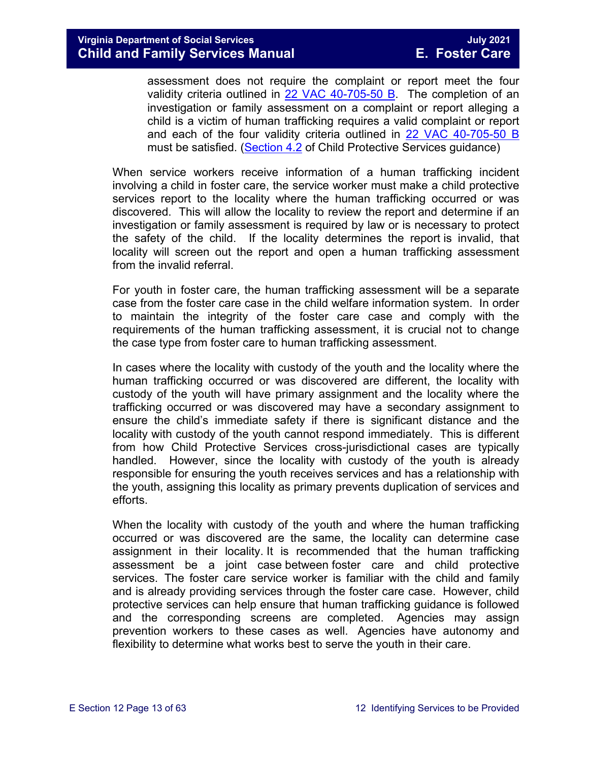assessment does not require the complaint or report meet the four validity criteria outlined in [22 VAC 40-705-50 B.](https://law.lis.virginia.gov/admincode/title22/agency40/chapter705/section50/) The completion of an investigation or family assessment on a complaint or report alleging a child is a victim of human trafficking requires a valid complaint or report and each of the four validity criteria outlined in [22 VAC 40-705-50 B](https://law.lis.virginia.gov/admincode/title22/agency40/chapter705/section50/) must be satisfied. [\(Section 4.2](https://fusion.dss.virginia.gov/Portals/%5Bdfs%5D/Files/DFS%20Manuals/CPS%20Manuals/Manual--2020/section_4_assessments_investigations%20July%202020.pdf) of Child Protective Services guidance)

When service workers receive information of a human trafficking incident involving a child in foster care, the service worker must make a child protective services report to the locality where the human trafficking occurred or was discovered. This will allow the locality to review the report and determine if an investigation or family assessment is required by law or is necessary to protect the safety of the child. If the locality determines the report is invalid, that locality will screen out the report and open a human trafficking assessment from the invalid referral.

For youth in foster care, the human trafficking assessment will be a separate case from the foster care case in the child welfare information system. In order to maintain the integrity of the foster care case and comply with the requirements of the human trafficking assessment, it is crucial not to change the case type from foster care to human trafficking assessment.

In cases where the locality with custody of the youth and the locality where the human trafficking occurred or was discovered are different, the locality with custody of the youth will have primary assignment and the locality where the trafficking occurred or was discovered may have a secondary assignment to ensure the child's immediate safety if there is significant distance and the locality with custody of the youth cannot respond immediately. This is different from how Child Protective Services cross-jurisdictional cases are typically handled. However, since the locality with custody of the youth is already responsible for ensuring the youth receives services and has a relationship with the youth, assigning this locality as primary prevents duplication of services and efforts.

When the locality with custody of the youth and where the human trafficking occurred or was discovered are the same, the locality can determine case assignment in their locality. It is recommended that the human trafficking assessment be a joint case between foster care and child protective services. The foster care service worker is familiar with the child and family and is already providing services through the foster care case. However, child protective services can help ensure that human trafficking guidance is followed and the corresponding screens are completed. Agencies may assign prevention workers to these cases as well. Agencies have autonomy and flexibility to determine what works best to serve the youth in their care.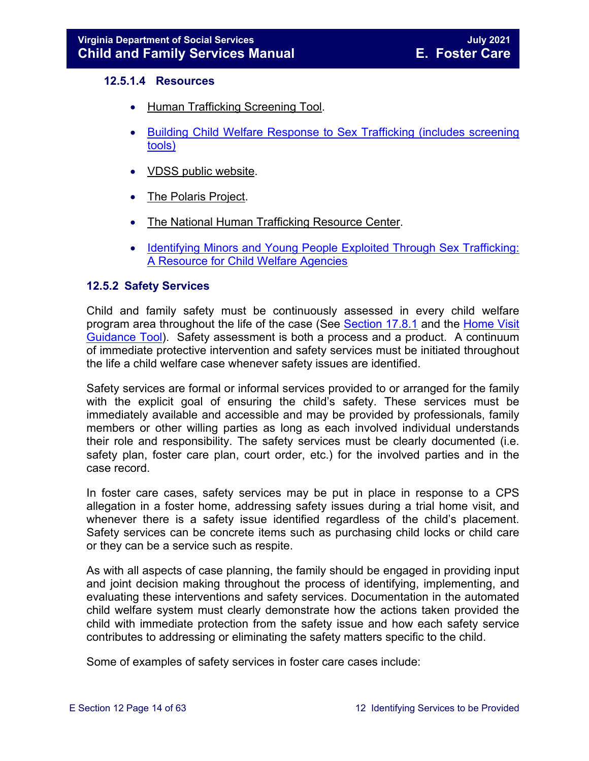#### **12.5.1.4 Resources**

- [Human Trafficking Screening Tool.](http://centerforchildwelfare.fmhi.usf.edu/kb/policymemos/HT_ScreeningTool_FPTraining.pdf)
- [Building Child Welfare Response to Sex Trafficking \(includes screening](http://www.luc.edu/media/lucedu/chrc/pdfs/BCWRHandbook2011.pdf)  [tools\)](http://www.luc.edu/media/lucedu/chrc/pdfs/BCWRHandbook2011.pdf)
- [VDSS public website.](http://www.dss.virginia.gov/family/fc/index.cgi)
- [The Polaris Project.](http://www.polarisproject.org/about-us/overview)
- [The National Human Trafficking Resource Center.](http://www.traffickingresourcecenter.org/?gclid=CIi1wZa578cCFdQYHwoda9cBkA)
- [Identifying Minors and Young People Exploited Through Sex Trafficking:](https://library.childwelfare.gov/cwig/ws/library/docs/capacity/Blob/106060.pdf?w=NATIVE(%27SIMPLE_SRCH+ph+is+%27%27Identifying+Minors+and+Young+People+Exploited+Through+Sex+Trafficking:+A+Resource+for+Child+Welfare+Agencies%27%27%27)&upp=0&order=native(%27year/Descend%27)&rpp=25&r=1&m=1)  [A Resource for Child Welfare Agencies](https://library.childwelfare.gov/cwig/ws/library/docs/capacity/Blob/106060.pdf?w=NATIVE(%27SIMPLE_SRCH+ph+is+%27%27Identifying+Minors+and+Young+People+Exploited+Through+Sex+Trafficking:+A+Resource+for+Child+Welfare+Agencies%27%27%27)&upp=0&order=native(%27year/Descend%27)&rpp=25&r=1&m=1)

#### <span id="page-13-0"></span>**12.5.2 Safety Services**

Child and family safety must be continuously assessed in every child welfare program area throughout the life of the case (See [Section 17.8.1](https://fusion.dss.virginia.gov/Portals/%5bdfs%5d/Files/DFS%20Manuals/Foster%20Care%20Manuals/Foster%20Care%20Manual%2007-2020/Final%20Foster%20Care%20Manual%2007-2020/section_17_managing_foster_care_services.pdf#page=14) and the Home Visit [Guidance Tool\)](https://fusion.dss.virginia.gov/Portals/%5Bdfs%5D/Files/Foster%20Care/Job%20Aids%20%26%20Resources/Monthly%20Worker%20Visit%20Checklist.pdf). Safety assessment is both a process and a product. A continuum of immediate protective intervention and safety services must be initiated throughout the life a child welfare case whenever safety issues are identified.

Safety services are formal or informal services provided to or arranged for the family with the explicit goal of ensuring the child's safety. These services must be immediately available and accessible and may be provided by professionals, family members or other willing parties as long as each involved individual understands their role and responsibility. The safety services must be clearly documented (i.e. safety plan, foster care plan, court order, etc.) for the involved parties and in the case record.

In foster care cases, safety services may be put in place in response to a CPS allegation in a foster home, addressing safety issues during a trial home visit, and whenever there is a safety issue identified regardless of the child's placement. Safety services can be concrete items such as purchasing child locks or child care or they can be a service such as respite.

As with all aspects of case planning, the family should be engaged in providing input and joint decision making throughout the process of identifying, implementing, and evaluating these interventions and safety services. Documentation in the automated child welfare system must clearly demonstrate how the actions taken provided the child with immediate protection from the safety issue and how each safety service contributes to addressing or eliminating the safety matters specific to the child.

Some of examples of safety services in foster care cases include: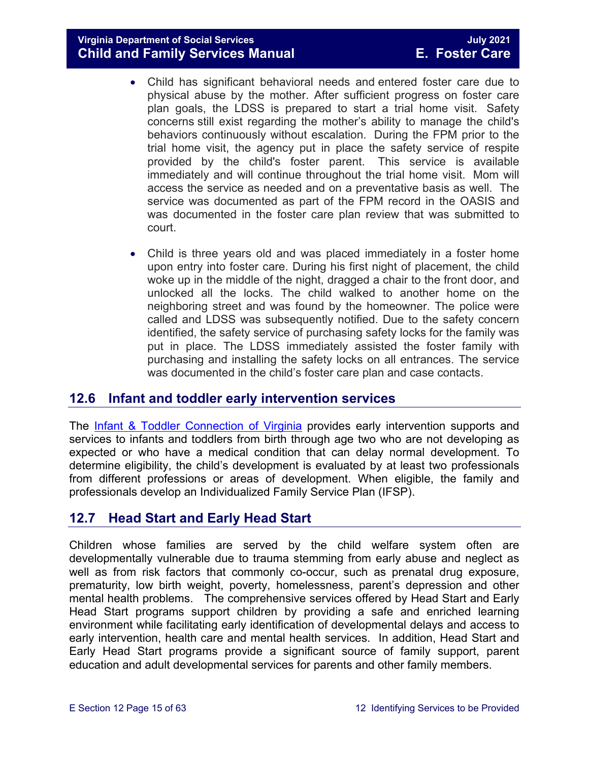**Virginia Department of Social Services July 2021 Child and Family Services Manual** 

- Child has significant behavioral needs and entered foster care due to physical abuse by the mother. After sufficient progress on foster care plan goals, the LDSS is prepared to start a trial home visit. Safety concerns still exist regarding the mother's ability to manage the child's behaviors continuously without escalation. During the FPM prior to the trial home visit, the agency put in place the safety service of respite provided by the child's foster parent. This service is available immediately and will continue throughout the trial home visit. Mom will access the service as needed and on a preventative basis as well. The service was documented as part of the FPM record in the OASIS and was documented in the foster care plan review that was submitted to court.
- Child is three years old and was placed immediately in a foster home upon entry into foster care. During his first night of placement, the child woke up in the middle of the night, dragged a chair to the front door, and unlocked all the locks. The child walked to another home on the neighboring street and was found by the homeowner. The police were called and LDSS was subsequently notified. Due to the safety concern identified, the safety service of purchasing safety locks for the family was put in place. The LDSS immediately assisted the foster family with purchasing and installing the safety locks on all entrances. The service was documented in the child's foster care plan and case contacts.

#### <span id="page-14-0"></span>**12.6 Infant and toddler early intervention services**

The [Infant & Toddler Connection of Virginia](http://www.infantva.org/fam-SupportServices.htm) provides early intervention supports and services to infants and toddlers from birth through age two who are not developing as expected or who have a medical condition that can delay normal development. To determine eligibility, the child's development is evaluated by at least two professionals from different professions or areas of development. When eligible, the family and professionals develop an Individualized Family Service Plan (IFSP).

#### <span id="page-14-1"></span>**12.7 Head Start and Early Head Start**

Children whose families are served by the child welfare system often are developmentally vulnerable due to trauma stemming from early abuse and neglect as well as from risk factors that commonly co-occur, such as prenatal drug exposure, prematurity, low birth weight, poverty, homelessness, parent's depression and other mental health problems. The comprehensive services offered by Head Start and Early Head Start programs support children by providing a safe and enriched learning environment while facilitating early identification of developmental delays and access to early intervention, health care and mental health services. In addition, Head Start and Early Head Start programs provide a significant source of family support, parent education and adult developmental services for parents and other family members.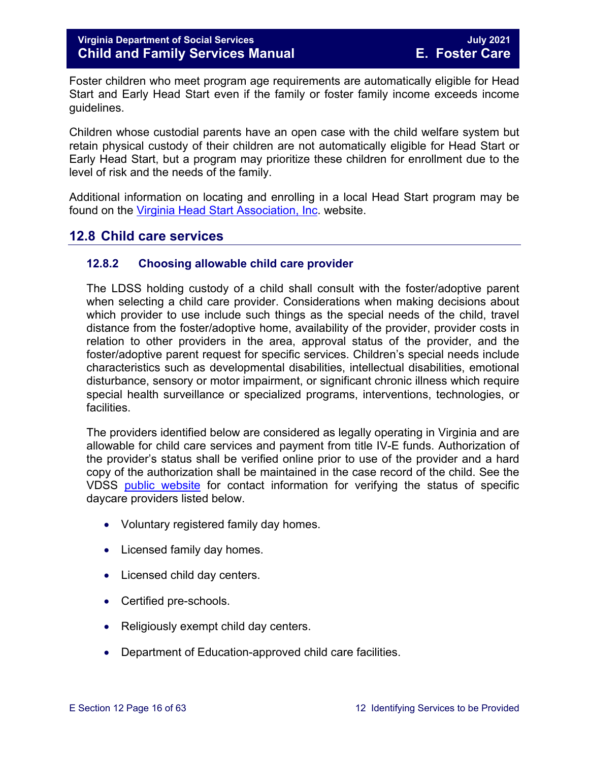Foster children who meet program age requirements are automatically eligible for Head Start and Early Head Start even if the family or foster family income exceeds income guidelines.

Children whose custodial parents have an open case with the child welfare system but retain physical custody of their children are not automatically eligible for Head Start or Early Head Start, but a program may prioritize these children for enrollment due to the level of risk and the needs of the family.

Additional information on locating and enrolling in a local Head Start program may be found on the [Virginia Head Start Association, Inc.](http://www.headstartva.org/index.php) website.

#### <span id="page-15-0"></span>**12.8 Child care services**

#### <span id="page-15-1"></span>**12.8.2 Choosing allowable child care provider**

The LDSS holding custody of a child shall consult with the foster/adoptive parent when selecting a child care provider. Considerations when making decisions about which provider to use include such things as the special needs of the child, travel distance from the foster/adoptive home, availability of the provider, provider costs in relation to other providers in the area, approval status of the provider, and the foster/adoptive parent request for specific services. Children's special needs include characteristics such as developmental disabilities, intellectual disabilities, emotional disturbance, sensory or motor impairment, or significant chronic illness which require special health surveillance or specialized programs, interventions, technologies, or facilities.

The providers identified below are considered as legally operating in Virginia and are allowable for child care services and payment from title IV-E funds. Authorization of the provider's status shall be verified online prior to use of the provider and a hard copy of the authorization shall be maintained in the case record of the child. See the VDSS [public website](http://www.dss.virginia.gov/family/cc/index.cgi) for contact information for verifying the status of specific daycare providers listed below.

- Voluntary registered family day homes.
- Licensed family day homes.
- Licensed child day centers.
- Certified pre-schools.
- Religiously exempt child day centers.
- Department of Education-approved child care facilities.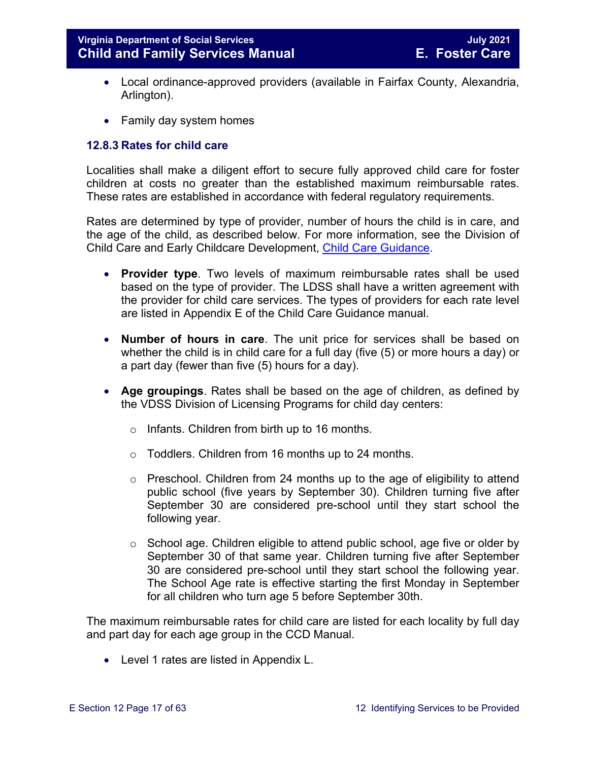- Local ordinance-approved providers (available in Fairfax County, Alexandria, Arlington).
- Family day system homes

#### <span id="page-16-0"></span>**12.8.3 Rates for child care**

Localities shall make a diligent effort to secure fully approved child care for foster children at costs no greater than the established maximum reimbursable rates. These rates are established in accordance with federal regulatory requirements.

Rates are determined by type of provider, number of hours the child is in care, and the age of the child, as described below. For more information, see the Division of Child Care and Early Childcare Development, [Child Care Guidance.](https://fusion.dss.virginia.gov/ccecd/CCECD-Home/Child-Care-Subsidy-Program/Program-Guidance)

- **Provider type**. Two levels of maximum reimbursable rates shall be used based on the type of provider. The LDSS shall have a written agreement with the provider for child care services. The types of providers for each rate level are listed in Appendix E of the Child Care Guidance manual.
- **Number of hours in care**. The unit price for services shall be based on whether the child is in child care for a full day (five (5) or more hours a day) or a part day (fewer than five (5) hours for a day).
- **Age groupings**. Rates shall be based on the age of children, as defined by the VDSS Division of Licensing Programs for child day centers:
	- o Infants. Children from birth up to 16 months.
	- o Toddlers. Children from 16 months up to 24 months.
	- $\circ$  Preschool. Children from 24 months up to the age of eligibility to attend public school (five years by September 30). Children turning five after September 30 are considered pre-school until they start school the following year.
	- o School age. Children eligible to attend public school, age five or older by September 30 of that same year. Children turning five after September 30 are considered pre-school until they start school the following year. The School Age rate is effective starting the first Monday in September for all children who turn age 5 before September 30th.

The maximum reimbursable rates for child care are listed for each locality by full day and part day for each age group in the CCD Manual.

• Level 1 rates are listed in Appendix L.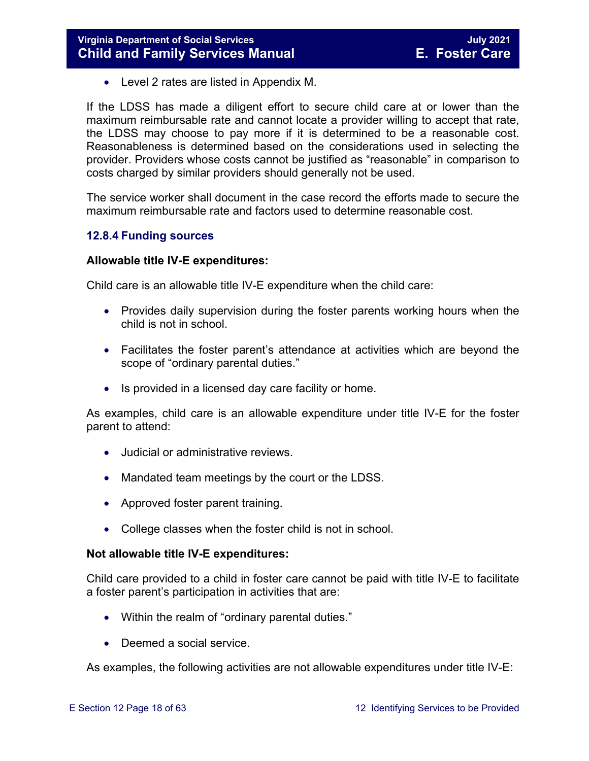• Level 2 rates are listed in Appendix M.

If the LDSS has made a diligent effort to secure child care at or lower than the maximum reimbursable rate and cannot locate a provider willing to accept that rate, the LDSS may choose to pay more if it is determined to be a reasonable cost. Reasonableness is determined based on the considerations used in selecting the provider. Providers whose costs cannot be justified as "reasonable" in comparison to costs charged by similar providers should generally not be used.

The service worker shall document in the case record the efforts made to secure the maximum reimbursable rate and factors used to determine reasonable cost.

#### <span id="page-17-0"></span>**12.8.4 Funding sources**

#### **Allowable title IV-E expenditures:**

Child care is an allowable title IV-E expenditure when the child care:

- Provides daily supervision during the foster parents working hours when the child is not in school.
- Facilitates the foster parent's attendance at activities which are beyond the scope of "ordinary parental duties."
- Is provided in a licensed day care facility or home.

As examples, child care is an allowable expenditure under title IV-E for the foster parent to attend:

- Judicial or administrative reviews.
- Mandated team meetings by the court or the LDSS.
- Approved foster parent training.
- College classes when the foster child is not in school.

#### **Not allowable title IV-E expenditures:**

Child care provided to a child in foster care cannot be paid with title IV-E to facilitate a foster parent's participation in activities that are:

- Within the realm of "ordinary parental duties."
- Deemed a social service.

As examples, the following activities are not allowable expenditures under title IV-E: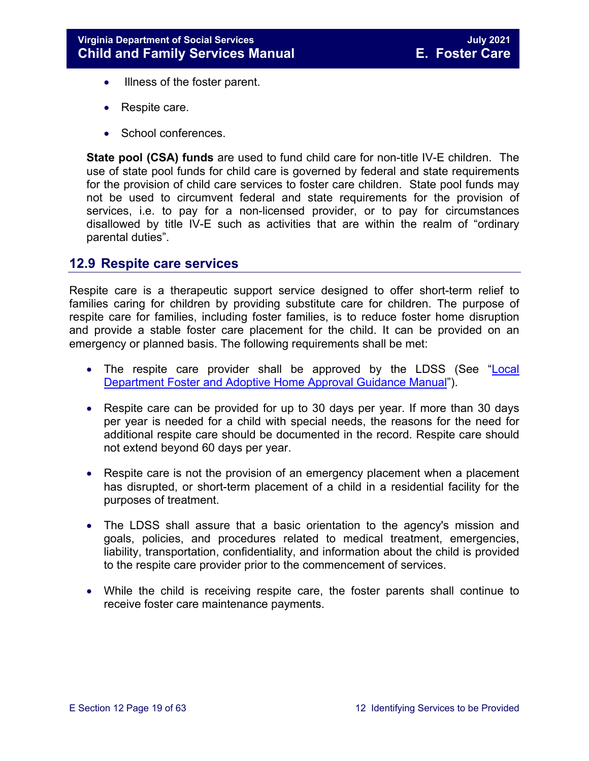- Illness of the foster parent.
- Respite care.
- School conferences.

**State pool (CSA) funds** are used to fund child care for non-title IV-E children. The use of state pool funds for child care is governed by federal and state requirements for the provision of child care services to foster care children. State pool funds may not be used to circumvent federal and state requirements for the provision of services, i.e. to pay for a non-licensed provider, or to pay for circumstances disallowed by title IV-E such as activities that are within the realm of "ordinary parental duties".

#### <span id="page-18-0"></span>**12.9 Respite care services**

Respite care is a therapeutic support service designed to offer short-term relief to families caring for children by providing substitute care for children. The purpose of respite care for families, including foster families, is to reduce foster home disruption and provide a stable foster care placement for the child. It can be provided on an emergency or planned basis. The following requirements shall be met:

- The respite care provider shall be approved by the LDSS (See ["Local](https://fusion.dss.virginia.gov/dfs/DFS-Home/Family-Recruitment/Family-Recruitment-Guidance)  Department [Foster and Adoptive Home Approval Guidance Manual"](https://fusion.dss.virginia.gov/dfs/DFS-Home/Family-Recruitment/Family-Recruitment-Guidance)).
- Respite care can be provided for up to 30 days per year. If more than 30 days per year is needed for a child with special needs, the reasons for the need for additional respite care should be documented in the record. Respite care should not extend beyond 60 days per year.
- Respite care is not the provision of an emergency placement when a placement has disrupted, or short-term placement of a child in a residential facility for the purposes of treatment.
- The LDSS shall assure that a basic orientation to the agency's mission and goals, policies, and procedures related to medical treatment, emergencies, liability, transportation, confidentiality, and information about the child is provided to the respite care provider prior to the commencement of services.
- While the child is receiving respite care, the foster parents shall continue to receive foster care maintenance payments.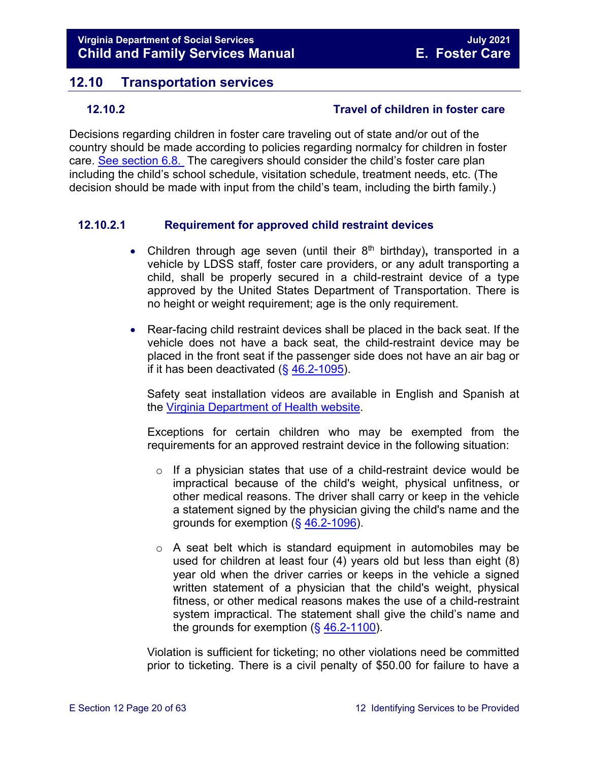### <span id="page-19-0"></span>**12.10 Transportation services**

#### <span id="page-19-1"></span>**12.10.2 Travel of children in foster care**

Decisions regarding children in foster care traveling out of state and/or out of the country should be made according to policies regarding normalcy for children in foster care. [See section 6.8.](https://fusion.dss.virginia.gov/Portals/%5bdfs%5d/Files/DFS%20Manuals/Foster%20Care%20Manuals/Foster%20Care%20Manual%2007-2020/Final%20Foster%20Care%20Manual%2007-2020/section_6_placement_to_achieve_permanency.pdf#page=28) The caregivers should consider the child's foster care plan including the child's school schedule, visitation schedule, treatment needs, etc. (The decision should be made with input from the child's team, including the birth family.)

#### **12.10.2.1 Requirement for approved child restraint devices**

- Children through age seven (until their 8<sup>th</sup> birthday), transported in a vehicle by LDSS staff, foster care providers, or any adult transporting a child, shall be properly secured in a child-restraint device of a type approved by the United States Department of Transportation. There is no height or weight requirement; age is the only requirement.
- Rear-facing child restraint devices shall be placed in the back seat. If the vehicle does not have a back seat, the child-restraint device may be placed in the front seat if the passenger side does not have an air bag or if it has been deactivated  $( $\S$  46.2-1095)$  $( $\S$  46.2-1095)$ .

Safety seat installation videos are available in English and Spanish at the [Virginia Department of Health website.](http://www.vahealth.org/injury/safetyseat/laws.htm)

Exceptions for certain children who may be exempted from the requirements for an approved restraint device in the following situation:

- o If a physician states that use of a child-restraint device would be impractical because of the child's weight, physical unfitness, or other medical reasons. The driver shall carry or keep in the vehicle a statement signed by the physician giving the child's name and the grounds for exemption (§ [46.2-1096\)](https://law.lis.virginia.gov/vacode/46.2-1096/).
- $\circ$  A seat belt which is standard equipment in automobiles may be used for children at least four (4) years old but less than eight (8) year old when the driver carries or keeps in the vehicle a signed written statement of a physician that the child's weight, physical fitness, or other medical reasons makes the use of a child-restraint system impractical. The statement shall give the child's name and the grounds for exemption  $(\frac{6}{9}46.2-1100)$  $(\frac{6}{9}46.2-1100)$ .

Violation is sufficient for ticketing; no other violations need be committed prior to ticketing. There is a civil penalty of \$50.00 for failure to have a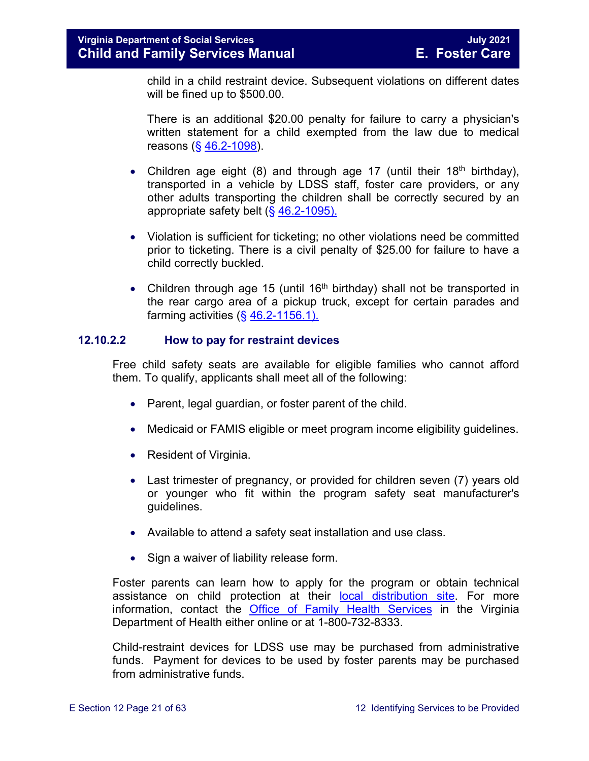child in a child restraint device. Subsequent violations on different dates will be fined up to \$500.00.

There is an additional \$20.00 penalty for failure to carry a physician's written statement for a child exempted from the law due to medical reasons (§ [46.2-1098\)](https://law.lis.virginia.gov/vacode/46.2-1098/).

- Children age eight (8) and through age 17 (until their 18<sup>th</sup> birthday), transported in a vehicle by LDSS staff, foster care providers, or any other adults transporting the children shall be correctly secured by an appropriate safety belt (§ [46.2-1095\).](https://law.lis.virginia.gov/vacode/46.2-1095/)
- Violation is sufficient for ticketing; no other violations need be committed prior to ticketing. There is a civil penalty of \$25.00 for failure to have a child correctly buckled.
- Children through age 15 (until 16<sup>th</sup> birthday) shall not be transported in the rear cargo area of a pickup truck, except for certain parades and farming activities  $( $\S$  46.2-1156.1).$

#### **12.10.2.2 How to pay for restraint devices**

Free child safety seats are available for eligible families who cannot afford them. To qualify, applicants shall meet all of the following:

- Parent, legal guardian, or foster parent of the child.
- Medicaid or FAMIS eligible or meet program [income eligibility guidelines.](http://www.vahealth.org/Injury/safetyseat/documents/2008/pdf/Income%20Guidelines%20Current.pdf)
- Resident of Virginia.
- Last trimester of pregnancy, or provided for children seven (7) years old or younger who fit within the program safety seat manufacturer's guidelines.
- Available to attend a safety seat installation and use class.
- Sign a waiver of liability release form.

Foster parents can learn how to apply for the program or obtain technical assistance on child protection at their [local distribution site.](http://www.vahealth.org/Injury/safetyseat/) For more information, contact the [Office of Family Health Services](http://www.vdh.virginia.gov/ofhs/) in the Virginia Department of Health either online or at 1-800-732-8333.

Child-restraint devices for LDSS use may be purchased from administrative funds. Payment for devices to be used by foster parents may be purchased from administrative funds.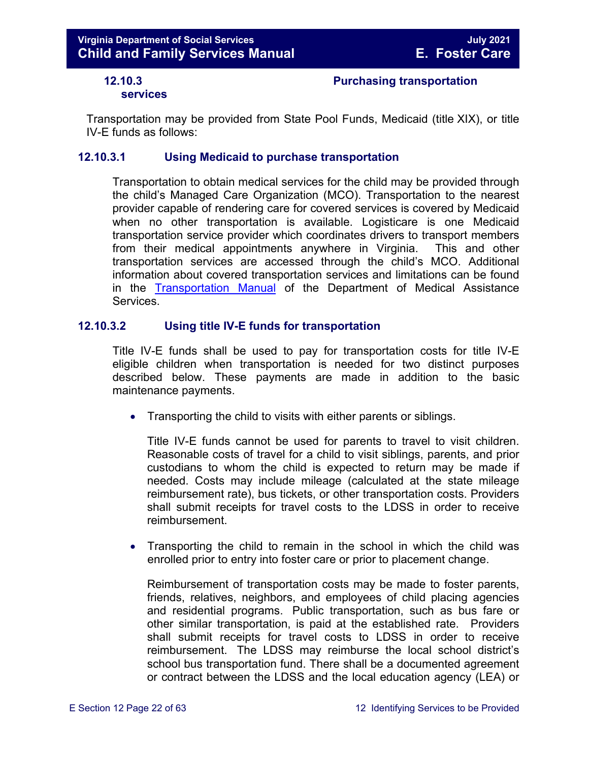#### <span id="page-21-0"></span>**12.10.3 Purchasing transportation**

#### **services**

Transportation may be provided from State Pool Funds, Medicaid (title XIX), or title IV-E funds as follows:

#### **12.10.3.1 Using Medicaid to purchase transportation**

Transportation to obtain medical services for the child may be provided through the child's Managed Care Organization (MCO). Transportation to the nearest provider capable of rendering care for covered services is covered by Medicaid when no other transportation is available. Logisticare is one Medicaid transportation service provider which coordinates drivers to transport members from their medical appointments anywhere in Virginia. This and other transportation services are accessed through the child's MCO. Additional information about covered transportation services and limitations can be found in the [Transportation Manual](http://transportation.dmas.virginia.gov/Home.aspx) of the Department of Medical Assistance Services.

#### **12.10.3.2 Using title IV-E funds for transportation**

Title IV-E funds shall be used to pay for transportation costs for title IV-E eligible children when transportation is needed for two distinct purposes described below. These payments are made in addition to the basic maintenance payments.

• Transporting the child to visits with either parents or siblings.

Title IV-E funds cannot be used for parents to travel to visit children. Reasonable costs of travel for a child to visit siblings, parents, and prior custodians to whom the child is expected to return may be made if needed. Costs may include mileage (calculated at the state mileage reimbursement rate), bus tickets, or other transportation costs. Providers shall submit receipts for travel costs to the LDSS in order to receive reimbursement.

• Transporting the child to remain in the school in which the child was enrolled prior to entry into foster care or prior to placement change.

Reimbursement of transportation costs may be made to foster parents, friends, relatives, neighbors, and employees of child placing agencies and residential programs. Public transportation, such as bus fare or other similar transportation, is paid at the established rate. Providers shall submit receipts for travel costs to LDSS in order to receive reimbursement. The LDSS may reimburse the local school district's school bus transportation fund. There shall be a documented agreement or contract between the LDSS and the local education agency (LEA) or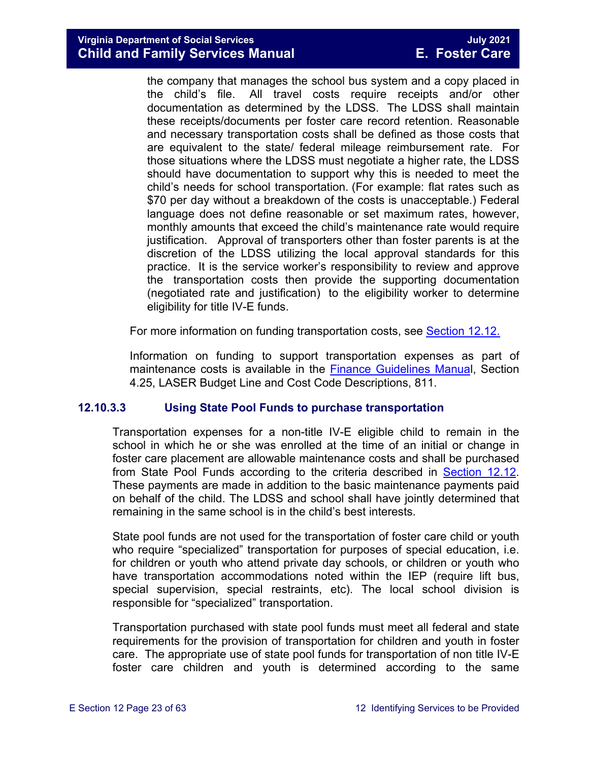the company that manages the school bus system and a copy placed in the child's file. All travel costs require receipts and/or other documentation as determined by the LDSS. The LDSS shall maintain these receipts/documents per foster care record retention. Reasonable and necessary transportation costs shall be defined as those costs that are equivalent to the state/ federal mileage reimbursement rate. For those situations where the LDSS must negotiate a higher rate, the LDSS should have documentation to support why this is needed to meet the child's needs for school transportation. (For example: flat rates such as \$70 per day without a breakdown of the costs is unacceptable.) Federal language does not define reasonable or set maximum rates, however, monthly amounts that exceed the child's maintenance rate would require justification. Approval of transporters other than foster parents is at the discretion of the LDSS utilizing the local approval standards for this practice. It is the service worker's responsibility to review and approve the transportation costs then provide the supporting documentation (negotiated rate and justification) to the eligibility worker to determine eligibility for title IV-E funds.

For more information on funding transportation costs, see [Section 12.12.](#page-52-1)

Information on funding to support transportation expenses as part of maintenance costs is available in the [Finance Guidelines Manual](https://fusion.dss.virginia.gov/dof/DOF-Home/LOCAL-RESOURCES/Finance-Guidelines-Manual-LDSS), Section 4.25, LASER Budget Line and Cost Code Descriptions, 811.

#### **12.10.3.3 Using State Pool Funds to purchase transportation**

Transportation expenses for a non-title IV-E eligible child to remain in the school in which he or she was enrolled at the time of an initial or change in foster care placement are allowable maintenance costs and shall be purchased from State Pool Funds according to the criteria described in [Section 12.12.](#page-52-1) These payments are made in addition to the basic maintenance payments paid on behalf of the child. The LDSS and school shall have jointly determined that remaining in the same school is in the child's best interests.

State pool funds are not used for the transportation of foster care child or youth who require "specialized" transportation for purposes of special education, i.e. for children or youth who attend private day schools, or children or youth who have transportation accommodations noted within the IEP (require lift bus, special supervision, special restraints, etc). The local school division is responsible for "specialized" transportation.

Transportation purchased with state pool funds must meet all federal and state requirements for the provision of transportation for children and youth in foster care. The appropriate use of state pool funds for transportation of non title IV-E foster care children and youth is determined according to the same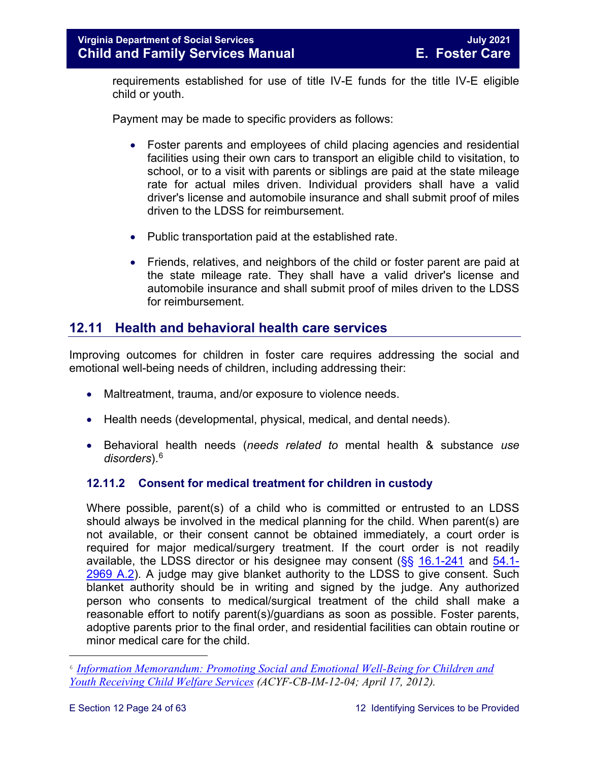requirements established for use of title IV-E funds for the title IV-E eligible child or youth.

Payment may be made to specific providers as follows:

- Foster parents and employees of child placing agencies and residential facilities using their own cars to transport an eligible child to visitation, to school, or to a visit with parents or siblings are paid at the state mileage rate for actual miles driven. Individual providers shall have a valid driver's license and automobile insurance and shall submit proof of miles driven to the LDSS for reimbursement.
- Public transportation paid at the established rate.
- Friends, relatives, and neighbors of the child or foster parent are paid at the state mileage rate. They shall have a valid driver's license and automobile insurance and shall submit proof of miles driven to the LDSS for reimbursement.

#### <span id="page-23-0"></span>**12.11 Health and behavioral health care services**

Improving outcomes for children in foster care requires addressing the social and emotional well-being needs of children, including addressing their:

- Maltreatment, trauma, and/or exposure to violence needs.
- Health needs (developmental, physical, medical, and dental needs).
- Behavioral health needs (*needs related to* mental health & substance *use disorders*).[6](#page-23-2)

#### <span id="page-23-1"></span>**12.11.2 Consent for medical treatment for children in custody**

Where possible, parent(s) of a child who is committed or entrusted to an LDSS should always be involved in the medical planning for the child. When parent(s) are not available, or their consent cannot be obtained immediately, a court order is required for major medical/surgery treatment. If the court order is not readily available, the LDSS director or his designee may consent  $(\frac{5}{5})$  [16.1-241](https://law.lis.virginia.gov/vacode/16.1-241/) and  $\frac{54.1}{54.1}$ [2969 A.2\)](https://law.lis.virginia.gov/vacode/54.1-2969/). A judge may give blanket authority to the LDSS to give consent. Such blanket authority should be in writing and signed by the judge. Any authorized person who consents to medical/surgical treatment of the child shall make a reasonable effort to notify parent(s)/guardians as soon as possible. Foster parents, adoptive parents prior to the final order, and residential facilities can obtain routine or minor medical care for the child.

Ĩ.

<span id="page-23-2"></span><sup>6</sup>*[Information Memorandum: Promoting Social and Emotional Well-Being for Children and](http://www.acf.hhs.gov/sites/default/files/cb/im1204.pdf)  [Youth Receiving Child Welfare Services](http://www.acf.hhs.gov/sites/default/files/cb/im1204.pdf) (ACYF-CB-IM-12-04; April 17, 2012).*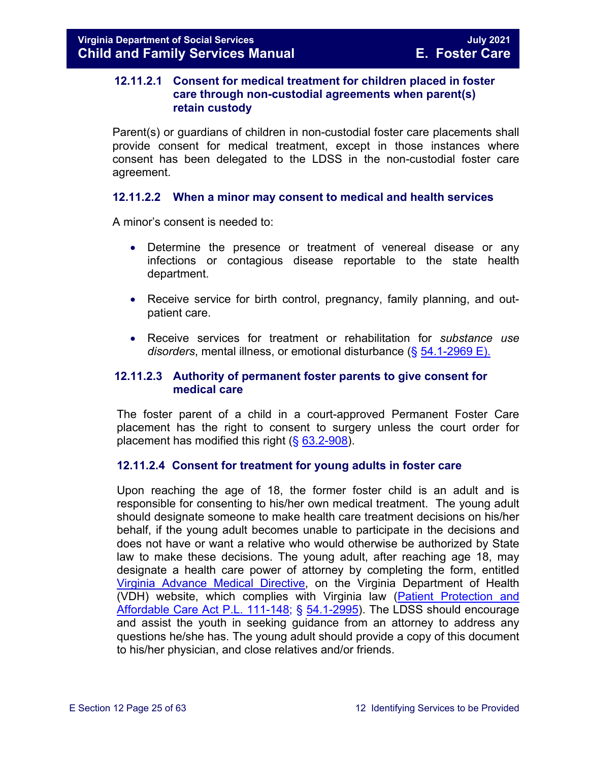#### <span id="page-24-0"></span>**12.11.2.1 Consent for medical treatment for children placed in foster care through non-custodial agreements when parent(s) retain custody**

Parent(s) or guardians of children in non-custodial foster care placements shall provide consent for medical treatment, except in those instances where consent has been delegated to the LDSS in the non-custodial foster care agreement.

#### **12.11.2.2 When a minor may consent to medical and health services**

A minor's consent is needed to:

- Determine the presence or treatment of venereal disease or any infections or contagious disease reportable to the state health department.
- Receive service for birth control, pregnancy, family planning, and outpatient care.
- Receive services for treatment or rehabilitation for *substance use disorders*, mental illness, or emotional disturbance (§ [54.1-2969 E\).](https://law.lis.virginia.gov/vacode/54.1-2969/)

#### **12.11.2.3 Authority of permanent foster parents to give consent for medical care**

The foster parent of a child in a court-approved Permanent Foster Care placement has the right to consent to surgery unless the court order for placement has modified this right  $(\S 63.2 - 908)$ .

#### <span id="page-24-1"></span>**12.11.2.4 Consent for treatment for young adults in foster care**

Upon reaching the age of 18, the former foster child is an adult and is responsible for consenting to his/her own medical treatment. The young adult should designate someone to make health care treatment decisions on his/her behalf, if the young adult becomes unable to participate in the decisions and does not have or want a relative who would otherwise be authorized by State law to make these decisions. The young adult, after reaching age 18, may designate a health care power of attorney by completing the form, entitled [Virginia Advance Medical Directive,](http://www.vdh.virginia.gov/OLC/documents/2008/pdfs/2005%20advanced%20directive%20form.pdf) on the Virginia Department of Health (VDH) website, which complies with Virginia law [\(Patient Protection and](http://www.gpo.gov/fdsys/pkg/PLAW-111publ148/pdf/PLAW-111publ148.pdf)  [Affordable Care Act P.L. 111-148;](http://www.gpo.gov/fdsys/pkg/PLAW-111publ148/pdf/PLAW-111publ148.pdf) § [54.1-2995\)](https://law.lis.virginia.gov/vacode/54.1-2995/). The LDSS should encourage and assist the youth in seeking guidance from an attorney to address any questions he/she has. The young adult should provide a copy of this document to his/her physician, and close relatives and/or friends.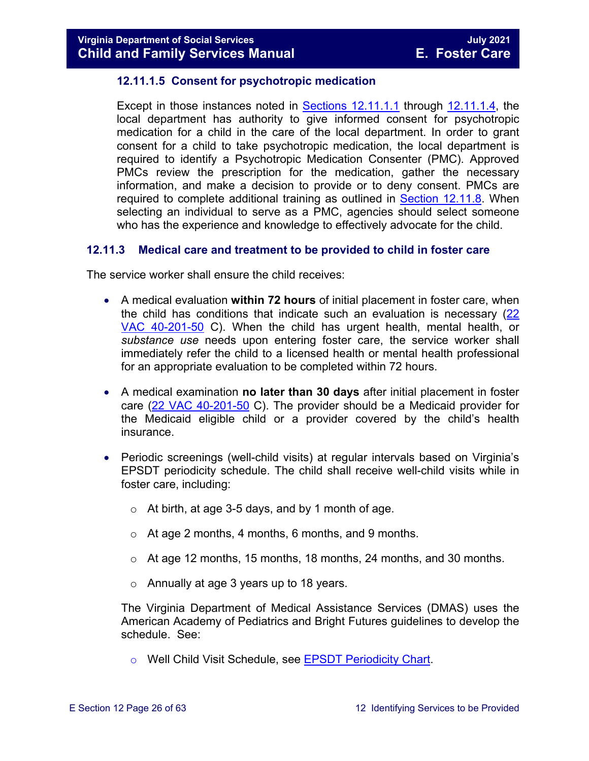#### **12.11.1.5 Consent for psychotropic medication**

Except in those instances noted in [Sections 12.11.1.1](#page-24-0) through [12.11.1.4,](#page-24-1) the local department has authority to give informed consent for psychotropic medication for a child in the care of the local department. In order to grant consent for a child to take psychotropic medication, the local department is required to identify a Psychotropic Medication Consenter (PMC). Approved PMCs review the prescription for the medication, gather the necessary information, and make a decision to provide or to deny consent. PMCs are required to complete additional training as outlined in [Section 12.11.8.](#page-48-0) When selecting an individual to serve as a PMC, agencies should select someone who has the experience and knowledge to effectively advocate for the child.

#### <span id="page-25-0"></span>**12.11.3 Medical care and treatment to be provided to child in foster care**

The service worker shall ensure the child receives:

- A medical evaluation **within 72 hours** of initial placement in foster care, when the child has conditions that indicate such an evaluation is necessary [\(22](http://leg1.state.va.us/cgi-bin/legp504.exe?000+reg+22VAC40-201-50)  [VAC 40-201-50](http://leg1.state.va.us/cgi-bin/legp504.exe?000+reg+22VAC40-201-50) C). When the child has urgent health, mental health, or *substance use* needs upon entering foster care, the service worker shall immediately refer the child to a licensed health or mental health professional for an appropriate evaluation to be completed within 72 hours.
- A medical examination **no later than 30 days** after initial placement in foster care  $(22 \text{ VAC } 40\text{-}201\text{-}50 \text{ C})$ . The provider should be a Medicaid provider for the Medicaid eligible child or a provider covered by the child's health insurance.
- Periodic screenings (well-child visits) at regular intervals based on Virginia's EPSDT periodicity schedule. The child shall receive well-child visits while in foster care, including:
	- $\circ$  At birth, at age 3-5 days, and by 1 month of age.
	- o At age 2 months, 4 months, 6 months, and 9 months.
	- o At age 12 months, 15 months, 18 months, 24 months, and 30 months.
	- o Annually at age 3 years up to 18 years.

The Virginia Department of Medical Assistance Services (DMAS) uses the American Academy of Pediatrics and Bright Futures guidelines to develop the schedule. See:

o Well Child Visit Schedule, see **EPSDT Periodicity Chart**.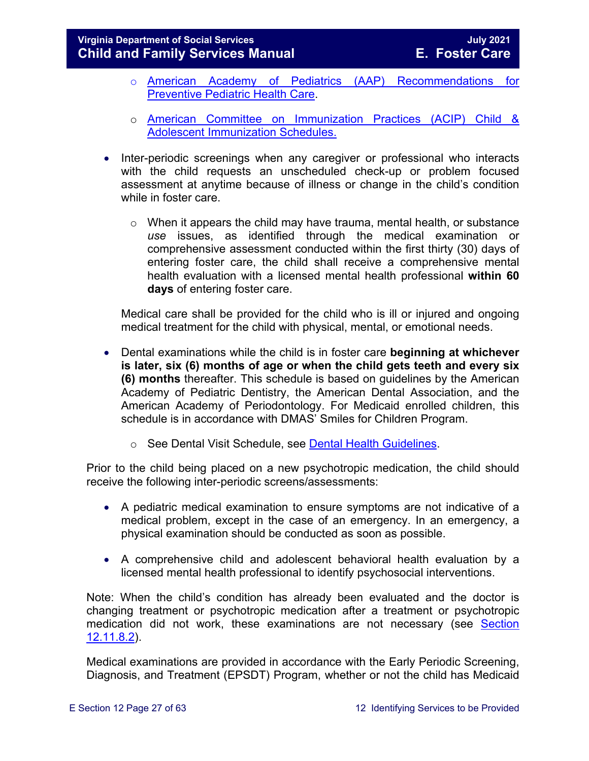#### **Virginia Department of Social Services July 2021 Child and Family Services Manual**

- o [American Academy of Pediatrics \(AAP\) Recommendations for](http://pediatrics.aappublications.org/cgi/data/120/6/1376/DC1/1)  [Preventive Pediatric Health Care.](http://pediatrics.aappublications.org/cgi/data/120/6/1376/DC1/1)
- o American Committee on [Immunization Practices \(ACIP\) Child &](http://www.cdc.gov/vaccines/schedules/index.html)  [Adolescent Immunization Schedules.](http://www.cdc.gov/vaccines/schedules/index.html)
- Inter-periodic screenings when any caregiver or professional who interacts with the child requests an unscheduled check-up or problem focused assessment at anytime because of illness or change in the child's condition while in foster care.
	- $\circ$  When it appears the child may have trauma, mental health, or substance *use* issues, as identified through the medical examination or comprehensive assessment conducted within the first thirty (30) days of entering foster care, the child shall receive a comprehensive mental health evaluation with a licensed mental health professional **within 60 days** of entering foster care.

Medical care shall be provided for the child who is ill or injured and ongoing medical treatment for the child with physical, mental, or emotional needs.

- Dental examinations while the child is in foster care **beginning at whichever is later, six (6) months of age or when the child gets teeth and every six (6) months** thereafter. This schedule is based on guidelines by the American Academy of Pediatric Dentistry, the American Dental Association, and the American Academy of Periodontology. For Medicaid enrolled children, this schedule is in accordance with DMAS' Smiles for Children Program.
	- o See Dental Visit Schedule, see [Dental Health Guidelines.](http://www.dmas.virginia.gov/Content_atchs/dnt/dnt-schdl.pdf)

Prior to the child being placed on a new psychotropic medication, the child should receive the following inter-periodic screens/assessments:

- A pediatric medical examination to ensure symptoms are not indicative of a medical problem, except in the case of an emergency. In an emergency, a physical examination should be conducted as soon as possible.
- A comprehensive child and adolescent behavioral health evaluation by a licensed mental health professional to identify psychosocial interventions.

Note: When the child's condition has already been evaluated and the doctor is changing treatment or psychotropic medication after a treatment or psychotropic medication did not work, these examinations are not necessary (see [Section](#page-46-0)  [12.11.8.2\)](#page-46-0).

Medical examinations are provided in accordance with the Early Periodic Screening, Diagnosis, and Treatment (EPSDT) Program, whether or not the child has Medicaid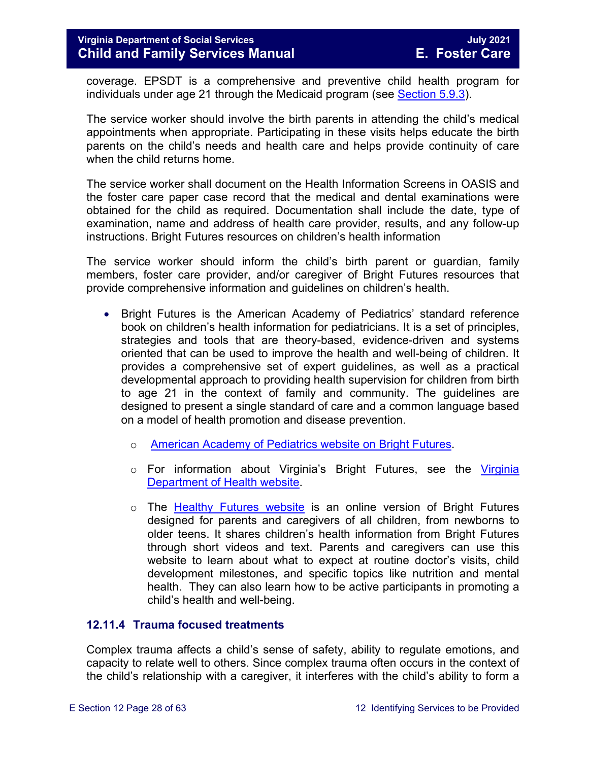coverage. EPSDT is a comprehensive and preventive child health program for individuals under age 21 through the Medicaid program (see [Section 5.9.3\)](https://fusion.dss.virginia.gov/Portals/%5bdfs%5d/Files/DFS%20Manuals/Foster%20Care%20Manuals/Foster%20Care%20Manual%2007-2020/Final%20Foster%20Care%20Manual%2007-2020/section_5_conducting_child_and_family_assessment.pdf#page=21).

The service worker should involve the birth parents in attending the child's medical appointments when appropriate. Participating in these visits helps educate the birth parents on the child's needs and health care and helps provide continuity of care when the child returns home.

The service worker shall document on the Health Information Screens in OASIS and the foster care paper case record that the medical and dental examinations were obtained for the child as required. Documentation shall include the date, type of examination, name and address of health care provider, results, and any follow-up instructions. Bright Futures resources on children's health information

The service worker should inform the child's birth parent or guardian, family members, foster care provider, and/or caregiver of Bright Futures resources that provide comprehensive information and guidelines on children's health.

- Bright Futures is the American Academy of Pediatrics' standard reference book on children's health information for pediatricians. It is a set of principles, strategies and tools that are theory-based, evidence-driven and systems oriented that can be used to improve the health and well-being of children. It provides a comprehensive set of expert guidelines, as well as a practical developmental approach to providing health supervision for children from birth to age 21 in the context of family and community. The guidelines are designed to present a single standard of care and a common language based on a model of health promotion and disease prevention.
	- o [American Academy of Pediatrics website on Bright Futures.](https://brightfutures.aap.org/Pages/default.aspx)
	- o For information about Virginia's Bright Futures, see the Virginia [Department of Health website.](http://www.vahealth.org/Brightfutures/index.htm)
	- o The [Healthy Futures website](https://www.vdh.virginia.gov/brightfutures/default.html) is an online version of Bright Futures designed for parents and caregivers of all children, from newborns to older teens. It shares children's health information from Bright Futures through short videos and text. Parents and caregivers can use this website to learn about what to expect at routine doctor's visits, child development milestones, and specific topics like nutrition and mental health. They can also learn how to be active participants in promoting a child's health and well-being.

#### <span id="page-27-1"></span><span id="page-27-0"></span>**12.11.4 Trauma focused treatments**

Complex trauma affects a child's sense of safety, ability to regulate emotions, and capacity to relate well to others. Since complex trauma often occurs in the context of the child's relationship with a caregiver, it interferes with the child's ability to form a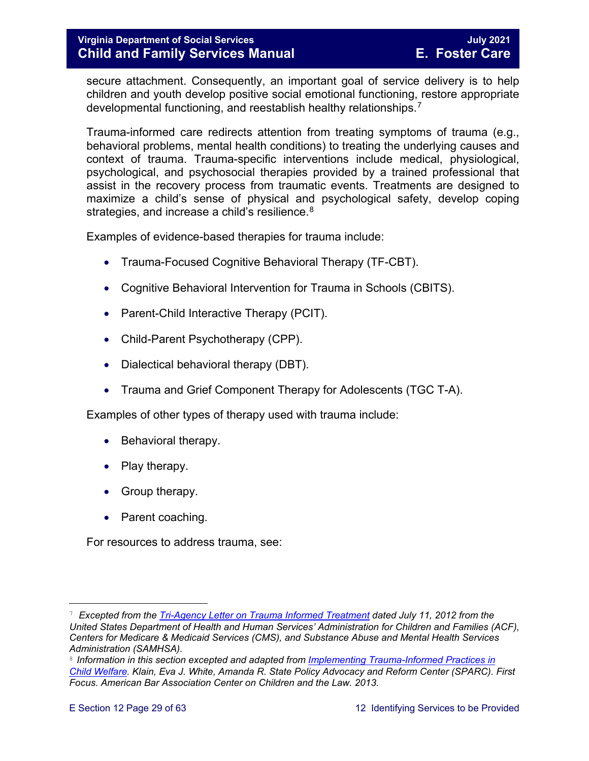secure attachment. Consequently, an important goal of service delivery is to help children and youth develop positive social emotional functioning, restore appropriate developmental functioning, and reestablish healthy relationships.<sup>[7](#page-28-0)</sup>

Trauma-informed care redirects attention from treating symptoms of trauma (e.g., behavioral problems, mental health conditions) to treating the underlying causes and context of trauma. Trauma-specific interventions include medical, physiological, psychological, and psychosocial therapies provided by a trained professional that assist in the recovery process from traumatic events. Treatments are designed to maximize a child's sense of physical and psychological safety, develop coping strategies, and increase a child's resilience.<sup>[8](#page-28-1)</sup>

Examples of evidence-based therapies for trauma include:

- Trauma-Focused Cognitive Behavioral Therapy (TF-CBT).
- Cognitive Behavioral Intervention for Trauma in Schools (CBITS).
- Parent-Child Interactive Therapy (PCIT).
- Child-Parent Psychotherapy (CPP).
- Dialectical behavioral therapy (DBT).
- Trauma and Grief Component Therapy for Adolescents (TGC T-A).

Examples of other types of therapy used with trauma include:

- Behavioral therapy.
- Play therapy.
- Group therapy.
- Parent coaching.

For resources to address trauma, see:

<span id="page-28-0"></span>Ĩ. <sup>7</sup> *Excepted from the [Tri-Agency Letter on Trauma Informed Treatment](http://www.medicaid.gov/Federal-Policy-Guidance/Downloads/SMD-13-07-11.pdf) dated July 11, 2012 from the United States Department of Health and Human Services' Administration for Children and Families (ACF), Centers for Medicare & Medicaid Services (CMS), and Substance Abuse and Mental Health Services Administration (SAMHSA).*

<span id="page-28-1"></span><sup>8</sup>*Information in this section excepted and adapted from [Implementing Trauma-Informed Practices in](http://childwelfaresparc.org/wp-content/uploads/2013/11/Implementing-Trauma-Informed-Practices.pdf)  [Child Welfare.](http://childwelfaresparc.org/wp-content/uploads/2013/11/Implementing-Trauma-Informed-Practices.pdf) Klain, Eva J. White, Amanda R. State Policy Advocacy and Reform Center (SPARC). First Focus. American Bar Association Center on Children and the Law. 2013.*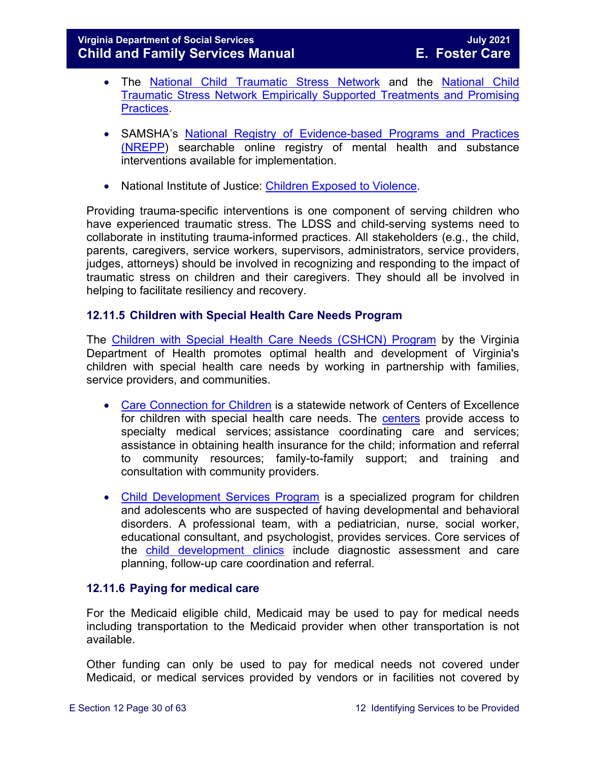#### **Virginia Department of Social Services July 2021 Child and Family Services Manual**

- The [National Child Traumatic Stress Network](http://www.nctsn.org/) and the [National Child](http://www.nctsn.org/resources/topics/treatments-that-work/promising-practices)  [Traumatic Stress Network Empirically Supported Treatments and Promising](http://www.nctsn.org/resources/topics/treatments-that-work/promising-practices)  [Practices.](http://www.nctsn.org/resources/topics/treatments-that-work/promising-practices)
- SAMSHA's [National Registry of Evidence-based Programs and Practices](https://www.samhsa.gov/nrepp)  [\(NREPP\)](https://www.samhsa.gov/nrepp) searchable online registry of mental health and substance interventions available for implementation.
- National Institute of Justice: [Children Exposed to Violence.](https://www.crimesolutions.gov/TopicDetails.aspx?ID=60)

Providing trauma-specific interventions is one component of serving children who have experienced traumatic stress. The LDSS and child-serving systems need to collaborate in instituting trauma-informed practices. All stakeholders (e.g., the child, parents, caregivers, service workers, supervisors, administrators, service providers, judges, attorneys) should be involved in recognizing and responding to the impact of traumatic stress on children and their caregivers. They should all be involved in helping to facilitate resiliency and recovery.

#### <span id="page-29-0"></span>**12.11.5 Children with Special Health Care Needs Program**

The [Children with Special Health Care Needs \(CSHCN\) Program](http://www.vahealth.org/specialchildren/) by the Virginia Department of Health promotes optimal health and development of Virginia's children with special health care needs by working in partnership with families, service providers, and communities.

- [Care Connection for Children](http://www.vdh.virginia.gov/ofhs/childandfamily/childhealth/cshcn/care.htm) is a statewide network of Centers of Excellence for children with special health care needs. The [centers](http://www.vdh.virginia.gov/ofhs/childandfamily/childhealth/cshcn/documents/2012/pdf/City-County%20Map%20oct-10%20CCC%20Centers%20with%20phone%20numbers.pdf) provide access to specialty medical services; assistance coordinating care and services; assistance in obtaining health insurance for the child; information and referral to community resources; family-to-family support; and training and consultation with community providers.
- [Child Development Services Program](http://www.vdh.virginia.gov/ofhs/childandfamily/childhealth/cshcn/developmentServices.htm) is a specialized program for children and adolescents who are suspected of having developmental and behavioral disorders. A professional team, with a pediatrician, nurse, social worker, educational consultant, and psychologist, provides services. Core services of the [child development clinics](http://www.vdh.virginia.gov/ofhs/childandfamily/childhealth/cshcn/cdsClinics.htm) include diagnostic assessment and care planning, follow-up care coordination and referral.

#### <span id="page-29-1"></span>**12.11.6 Paying for medical care**

For the Medicaid eligible child, Medicaid may be used to pay for medical needs including transportation to the Medicaid provider when other transportation is not available.

Other funding can only be used to pay for medical needs not covered under Medicaid, or medical services provided by vendors or in facilities not covered by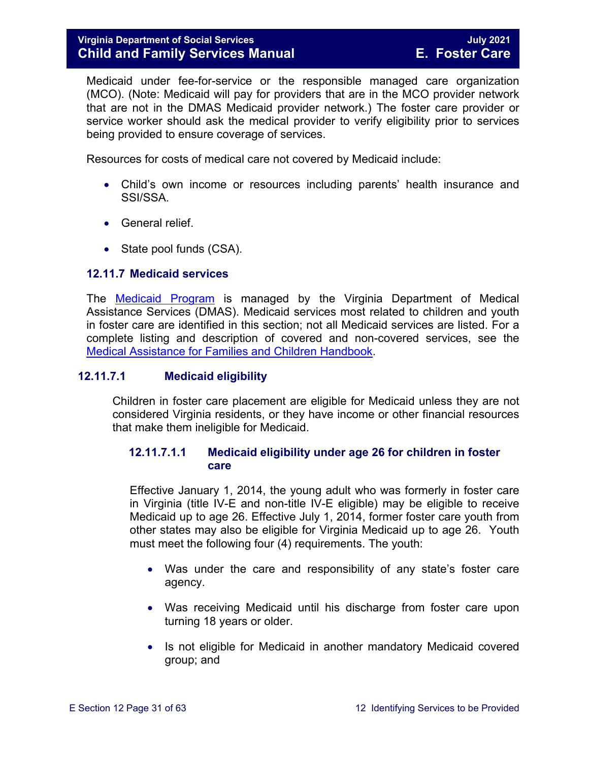Medicaid under fee-for-service or the responsible managed care organization (MCO). (Note: Medicaid will pay for providers that are in the MCO provider network that are not in the DMAS Medicaid provider network.) The foster care provider or service worker should ask the medical provider to verify eligibility prior to services being provided to ensure coverage of services.

Resources for costs of medical care not covered by Medicaid include:

- Child's own income or resources including parents' health insurance and SSI/SSA.
- General relief.
- State pool funds (CSA).

#### <span id="page-30-0"></span>**12.11.7 Medicaid services**

The [Medicaid Program](http://dmasva.dmas.virginia.gov/Content_pgs/rcp-home.aspx) is managed by the Virginia Department of Medical Assistance Services (DMAS). Medicaid services most related to children and youth in foster care are identified in this section; not all Medicaid services are listed. For a complete listing and description of covered and non-covered services, see the [Medical Assistance for Families and Children](http://dmasva.dmas.virginia.gov/Content_atchs/atchs/medbook-eng.pdf) Handbook.

#### **12.11.7.1 Medicaid eligibility**

Children in foster care placement are eligible for Medicaid unless they are not considered Virginia residents, or they have income or other financial resources that make them ineligible for Medicaid.

#### **12.11.7.1.1 Medicaid eligibility under age 26 for children in foster care**

Effective January 1, 2014, the young adult who was formerly in foster care in Virginia (title IV-E and non-title IV-E eligible) may be eligible to receive Medicaid up to age 26. Effective July 1, 2014, former foster care youth from other states may also be eligible for Virginia Medicaid up to age 26. Youth must meet the following four (4) requirements. The youth:

- Was under the care and responsibility of any state's foster care agency.
- Was receiving Medicaid until his discharge from foster care upon turning 18 years or older.
- Is not eligible for Medicaid in another mandatory Medicaid covered group; and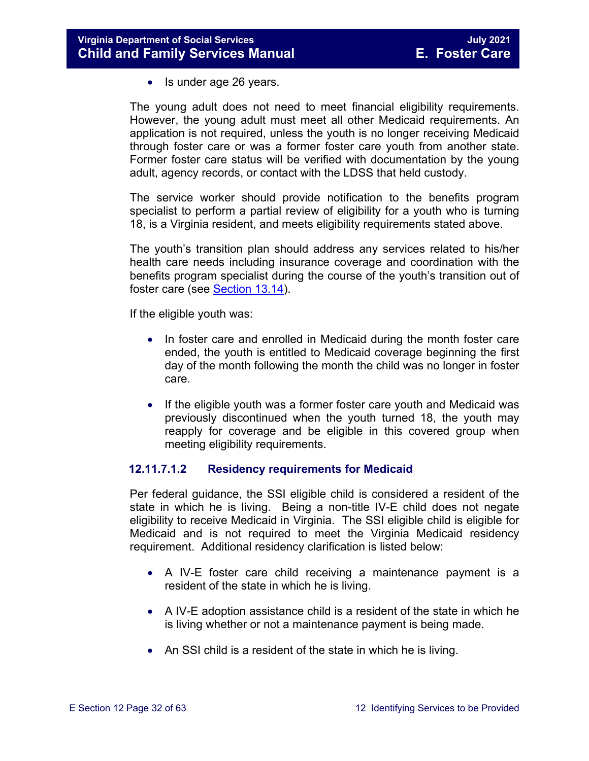• Is under age 26 years.

The young adult does not need to meet financial eligibility requirements. However, the young adult must meet all other Medicaid requirements. An application is not required, unless the youth is no longer receiving Medicaid through foster care or was a former foster care youth from another state. Former foster care status will be verified with documentation by the young adult, agency records, or contact with the LDSS that held custody.

The service worker should provide notification to the benefits program specialist to perform a partial review of eligibility for a youth who is turning 18, is a Virginia resident, and meets eligibility requirements stated above.

The youth's transition plan should address any services related to his/her health care needs including insurance coverage and coordination with the benefits program specialist during the course of the youth's transition out of foster care (see [Section 13.14\)](https://fusion.dss.virginia.gov/Portals/%5bdfs%5d/Files/DFS%20Manuals/Foster%20Care%20Manuals/Foster%20Care%20Manual%2007-2020/Final%20Foster%20Care%20Manual%2007-2020/Section_13_achieving_permanency_for_older_youth.pdf#page=37).

If the eligible youth was:

- In foster care and enrolled in Medicaid during the month foster care ended, the youth is entitled to Medicaid coverage beginning the first day of the month following the month the child was no longer in foster care.
- If the eligible youth was a former foster care youth and Medicaid was previously discontinued when the youth turned 18, the youth may reapply for coverage and be eligible in this covered group when meeting eligibility requirements.

#### **12.11.7.1.2 Residency requirements for Medicaid**

Per federal guidance, the SSI eligible child is considered a resident of the state in which he is living. Being a non-title IV-E child does not negate eligibility to receive Medicaid in Virginia. The SSI eligible child is eligible for Medicaid and is not required to meet the Virginia Medicaid residency requirement. Additional residency clarification is listed below:

- A IV-E foster care child receiving a maintenance payment is a resident of the state in which he is living.
- A IV-E adoption assistance child is a resident of the state in which he is living whether or not a maintenance payment is being made.
- An SSI child is a resident of the state in which he is living.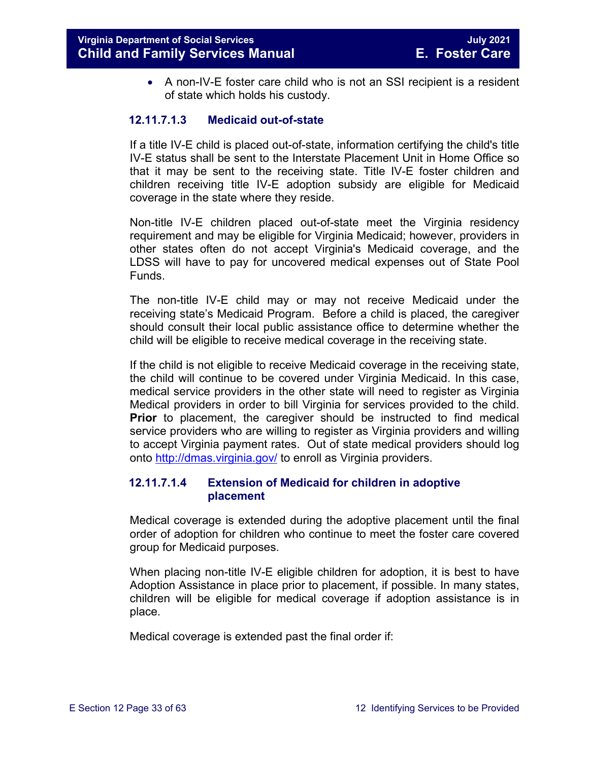• A non-IV-E foster care child who is not an SSI recipient is a resident of state which holds his custody.

#### **12.11.7.1.3 Medicaid out-of-state**

If a title IV-E child is placed out-of-state, information certifying the child's title IV-E status shall be sent to the Interstate Placement Unit in Home Office so that it may be sent to the receiving state. Title IV-E foster children and children receiving title IV-E adoption subsidy are eligible for Medicaid coverage in the state where they reside.

Non-title IV-E children placed out-of-state meet the Virginia residency requirement and may be eligible for Virginia Medicaid; however, providers in other states often do not accept Virginia's Medicaid coverage, and the LDSS will have to pay for uncovered medical expenses out of State Pool Funds.

The non-title IV-E child may or may not receive Medicaid under the receiving state's Medicaid Program. Before a child is placed, the caregiver should consult their local public assistance office to determine whether the child will be eligible to receive medical coverage in the receiving state.

If the child is not eligible to receive Medicaid coverage in the receiving state, the child will continue to be covered under Virginia Medicaid. In this case, medical service providers in the other state will need to register as Virginia Medical providers in order to bill Virginia for services provided to the child. **Prior** to placement, the caregiver should be instructed to find medical service providers who are willing to register as Virginia providers and willing to accept Virginia payment rates. Out of state medical providers should log onto<http://dmas.virginia.gov/> to enroll as Virginia providers.

#### **12.11.7.1.4 Extension of Medicaid for children in adoptive placement**

Medical coverage is extended during the adoptive placement until the final order of adoption for children who continue to meet the foster care covered group for Medicaid purposes.

When placing non-title IV-E eligible children for adoption, it is best to have Adoption Assistance in place prior to placement, if possible. In many states, children will be eligible for medical coverage if adoption assistance is in place.

Medical coverage is extended past the final order if: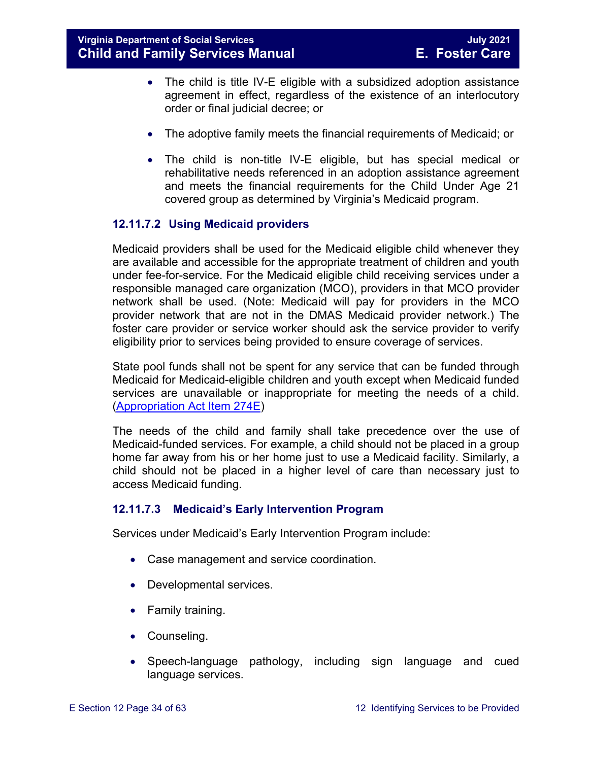- The child is title IV-E eligible with a subsidized adoption assistance agreement in effect, regardless of the existence of an interlocutory order or final judicial decree; or
- The adoptive family meets the financial requirements of Medicaid; or
- The child is non-title IV-E eligible, but has special medical or rehabilitative needs referenced in an adoption assistance agreement and meets the financial requirements for the Child Under Age 21 covered group as determined by Virginia's Medicaid program.

#### **12.11.7.2 Using Medicaid providers**

Medicaid providers shall be used for the Medicaid eligible child whenever they are available and accessible for the appropriate treatment of children and youth under fee-for-service. For the Medicaid eligible child receiving services under a responsible managed care organization (MCO), providers in that MCO provider network shall be used. (Note: Medicaid will pay for providers in the MCO provider network that are not in the DMAS Medicaid provider network.) The foster care provider or service worker should ask the service provider to verify eligibility prior to services being provided to ensure coverage of services.

State pool funds shall not be spent for any service that can be funded through Medicaid for Medicaid-eligible children and youth except when Medicaid funded services are unavailable or inappropriate for meeting the needs of a child. [\(Appropriation Act Item 274E\)](http://lis.virginia.gov/cgi-bin/legp604.exe?111+bud+21-274)

The needs of the child and family shall take precedence over the use of Medicaid-funded services. For example, a child should not be placed in a group home far away from his or her home just to use a Medicaid facility. Similarly, a child should not be placed in a higher level of care than necessary just to access Medicaid funding.

#### **12.11.7.3 Medicaid's Early Intervention Program**

Services under Medicaid's Early Intervention Program include:

- Case management and service coordination.
- Developmental services.
- Family training.
- Counseling.
- Speech-language pathology, including sign language and cued language services.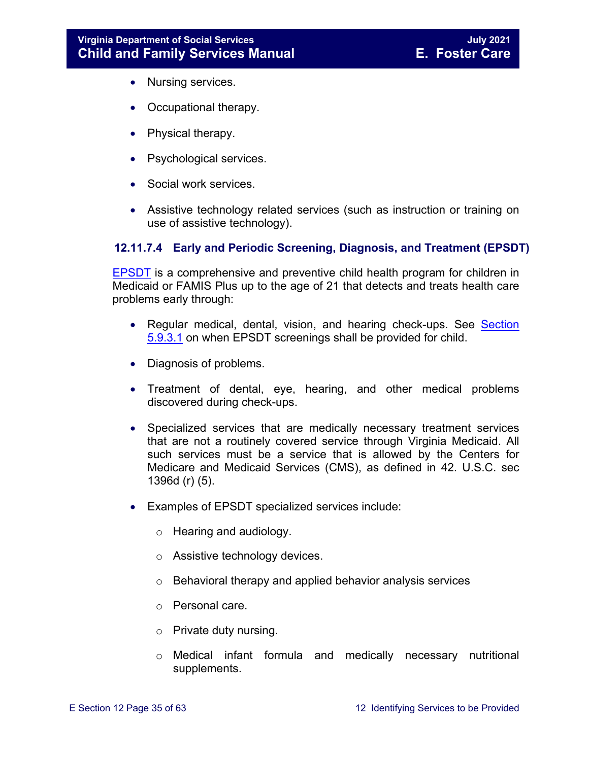- Nursing services.
- Occupational therapy.
- Physical therapy.
- Psychological services.
- Social work services.
- Assistive technology related services (such as instruction or training on use of assistive technology).

#### **12.11.7.4 Early and Periodic Screening, Diagnosis, and Treatment (EPSDT)**

[EPSDT](http://dmasva.dmas.virginia.gov/Content_pgs/mch-home.aspx) is a comprehensive and preventive child health program for children in Medicaid or FAMIS Plus up to the age of 21 that detects and treats health care problems early through:

- Regular medical, dental, vision, and hearing check-ups. See Section [5.9.3.1](https://fusion.dss.virginia.gov/Portals/%5bdfs%5d/Files/DFS%20Manuals/Foster%20Care%20Manuals/Foster%20Care%20Manual%2007-2020/Final%20Foster%20Care%20Manual%2007-2020/section_5_conducting_child_and_family_assessment.pdf#page=22) on when EPSDT screenings shall be provided for child.
- Diagnosis of problems.
- Treatment of dental, eye, hearing, and other medical problems discovered during check-ups.
- Specialized services that are medically necessary treatment services that are not a routinely covered service through Virginia Medicaid. All such services must be a service that is allowed by the Centers for Medicare and Medicaid Services (CMS), as defined in 42. U.S.C. sec 1396d (r) (5).
- Examples of EPSDT specialized services include:
	- o Hearing and audiology.
	- o Assistive technology devices.
	- o Behavioral therapy and applied behavior analysis services
	- o Personal care.
	- o Private duty nursing.
	- o Medical infant formula and medically necessary nutritional supplements.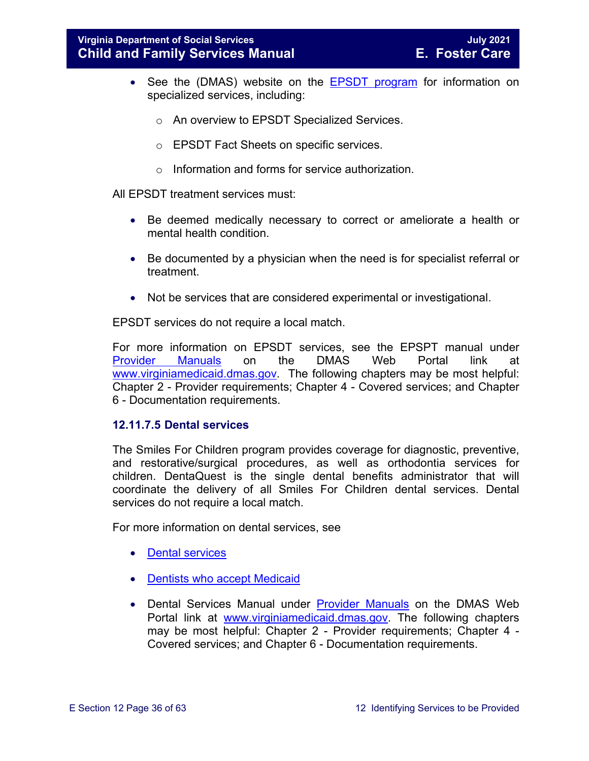- See the (DMAS) website on the [EPSDT program](http://www.dmas.virginia.gov/Content_pgs/mch-home.aspx) for information on specialized services, including:
	- o An overview to EPSDT Specialized Services.
	- o EPSDT Fact Sheets on specific services.
	- o Information and forms for service authorization.

All EPSDT treatment services must:

- Be deemed medically necessary to correct or ameliorate a health or mental health condition.
- Be documented by a physician when the need is for specialist referral or treatment.
- Not be services that are considered experimental or investigational.

EPSDT services do not require a local match.

For more information on EPSDT services, see the EPSPT manual under [Provider Manuals](https://www.virginiamedicaid.dmas.virginia.gov/wps/portal/ProviderManual) on the DMAS Web Portal link at [www.virginiamedicaid.dmas.gov.](http://www.virginiamedicaid.dmas.gov/) The following chapters may be most helpful: Chapter 2 - Provider requirements; Chapter 4 - Covered services; and Chapter 6 - Documentation requirements.

#### **12.11.7.5 Dental services**

The Smiles For Children program provides coverage for diagnostic, preventive, and restorative/surgical procedures, as well as orthodontia services for children. DentaQuest is the single dental benefits administrator that will coordinate the delivery of all Smiles For Children dental services. Dental services do not require a local match.

For more information on dental services, see

- [Dental services](http://dmasva.dmas.virginia.gov/Content_pgs/dental-home.aspx)
- [Dentists who accept Medicaid](http://dmasva.dmas.virginia.gov/Content_pgs/dental-home.aspx)
- Dental Services Manual under [Provider Manuals](https://www.virginiamedicaid.dmas.virginia.gov/wps/portal/ProviderManual) on the DMAS Web Portal link at [www.virginiamedicaid.dmas.gov.](http://www.virginiamedicaid.dmas.gov/) The following chapters may be most helpful: Chapter 2 - Provider requirements; Chapter 4 - Covered services; and Chapter 6 - Documentation requirements.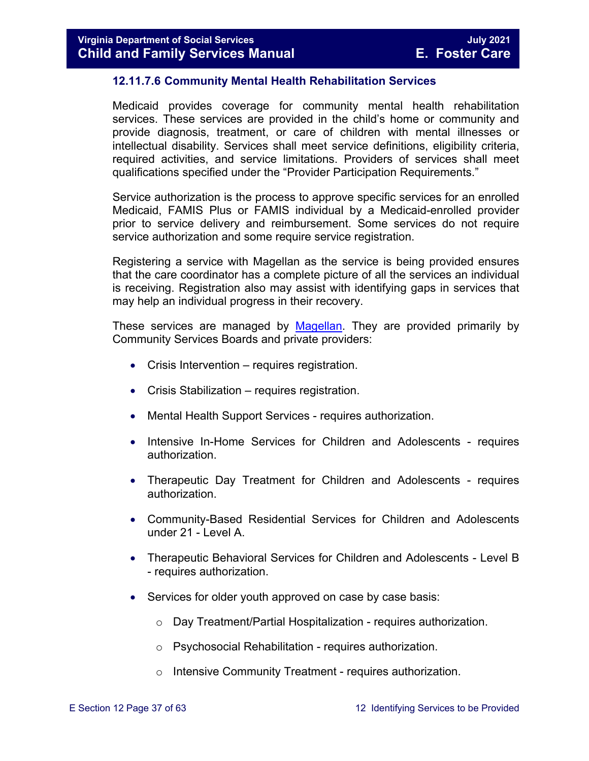#### **12.11.7.6 Community Mental Health Rehabilitation Services**

Medicaid provides coverage for community mental health rehabilitation services. These services are provided in the child's home or community and provide diagnosis, treatment, or care of children with mental illnesses or intellectual disability. Services shall meet service definitions, eligibility criteria, required activities, and service limitations. Providers of services shall meet qualifications specified under the "Provider Participation Requirements."

Service authorization is the process to approve specific services for an enrolled Medicaid, FAMIS Plus or FAMIS individual by a Medicaid-enrolled provider prior to service delivery and reimbursement. Some services do not require service authorization and some require service registration.

Registering a service with Magellan as the service is being provided ensures that the care coordinator has a complete picture of all the services an individual is receiving. Registration also may assist with identifying gaps in services that may help an individual progress in their recovery.

These services are managed by [Magellan.](http://www.magellanofvirginia.com/) They are provided primarily by Community Services Boards and private providers:

- Crisis Intervention requires registration.
- Crisis Stabilization requires registration.
- Mental Health Support Services requires authorization.
- Intensive In-Home Services for Children and Adolescents requires authorization.
- Therapeutic Day Treatment for Children and Adolescents requires authorization.
- Community-Based Residential Services for Children and Adolescents under 21 - Level A.
- Therapeutic Behavioral Services for Children and Adolescents Level B - requires authorization.
- Services for older youth approved on case by case basis:
	- o Day Treatment/Partial Hospitalization requires authorization.
	- o Psychosocial Rehabilitation requires authorization.
	- o Intensive Community Treatment requires authorization.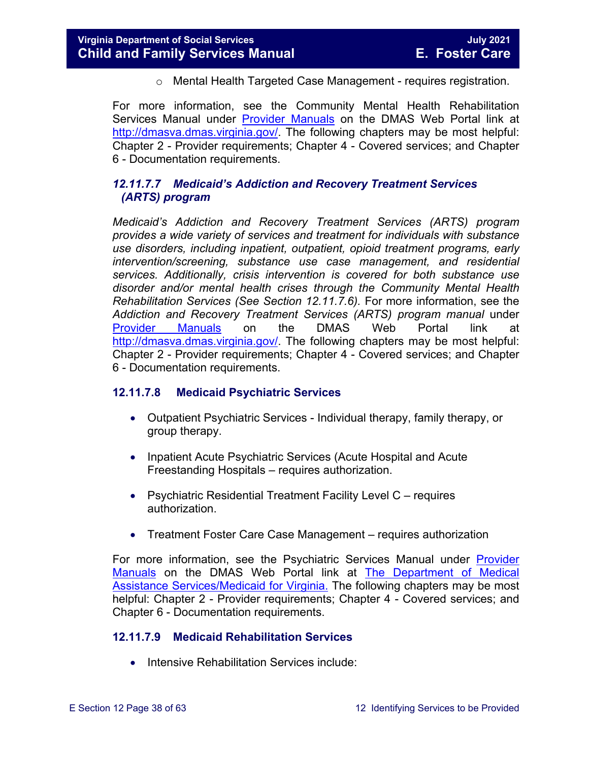o Mental Health Targeted Case Management - requires registration.

For more information, see the Community Mental Health Rehabilitation Services Manual under [Provider Manuals](https://www.virginiamedicaid.dmas.virginia.gov/wps/portal/ProviderManual) on the DMAS Web Portal link at [http://dmasva.dmas.virginia.gov/.](http://dmasva.dmas.virginia.gov/) The following chapters may be most helpful: Chapter 2 - Provider requirements; Chapter 4 - Covered services; and Chapter 6 - Documentation requirements.

#### *12.11.7.7 Medicaid's Addiction and Recovery Treatment Services (ARTS) program*

*Medicaid's Addiction and Recovery Treatment Services (ARTS) program provides a wide variety of services and treatment for individuals with substance use disorders, including inpatient, outpatient, opioid treatment programs, early intervention/screening, substance use case management, and residential services. Additionally, crisis intervention is covered for both substance use disorder and/or mental health crises through the Community Mental Health Rehabilitation Services (See Section 12.11.7.6).* For more information, see the *Addiction and Recovery Treatment Services (ARTS) program manual* under [Provider Manuals](https://www.virginiamedicaid.dmas.virginia.gov/wps/portal/ProviderManual) on the DMAS Web Portal link at [http://dmasva.dmas.virginia.gov/.](http://dmasva.dmas.virginia.gov/) The following chapters may be most helpful: Chapter 2 - Provider requirements; Chapter 4 - Covered services; and Chapter 6 - Documentation requirements.

#### **12.11.7.8 Medicaid Psychiatric Services**

- Outpatient Psychiatric Services Individual therapy, family therapy, or group therapy.
- Inpatient Acute Psychiatric Services (Acute Hospital and Acute Freestanding Hospitals – requires authorization.
- Psychiatric Residential Treatment Facility Level C requires authorization.
- Treatment Foster Care Case Management requires authorization

For more information, see the Psychiatric Services Manual under [Provider](https://www.virginiamedicaid.dmas.virginia.gov/wps/portal/ProviderManual)  [Manuals](https://www.virginiamedicaid.dmas.virginia.gov/wps/portal/ProviderManual) on the DMAS Web Portal link at [The Department of Medical](http://dmasva.dmas.virginia.gov/)  [Assistance Services/Medicaid for Virginia.](http://dmasva.dmas.virginia.gov/) The following chapters may be most helpful: Chapter 2 - Provider requirements; Chapter 4 - Covered services; and Chapter 6 - Documentation requirements.

#### **12.11.7.9 Medicaid Rehabilitation Services**

• Intensive Rehabilitation Services include: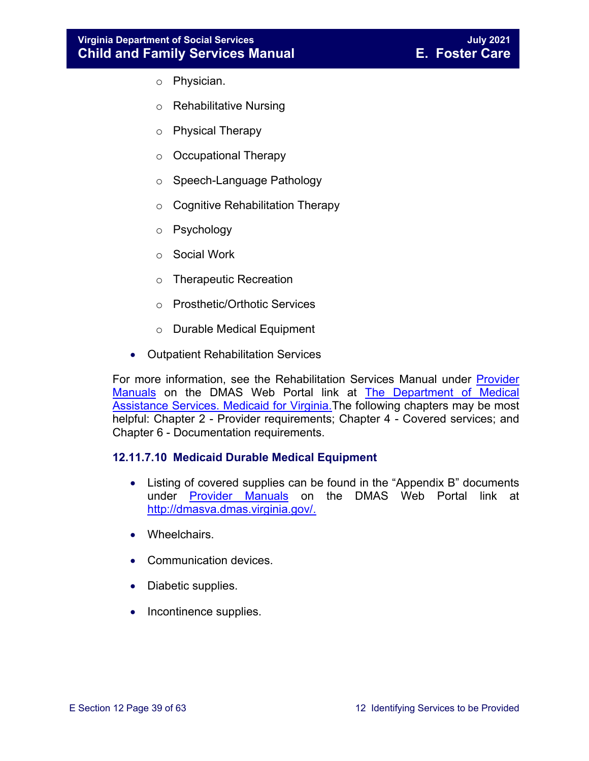#### **Virginia Department of Social Services July 2021 Child and Family Services Manual**

- o Physician.
- o Rehabilitative Nursing
- o Physical Therapy
- o Occupational Therapy
- o Speech-Language Pathology
- o Cognitive Rehabilitation Therapy
- o Psychology
- o Social Work
- o Therapeutic Recreation
- o Prosthetic/Orthotic Services
- o Durable Medical Equipment
- Outpatient Rehabilitation Services

For more information, see the Rehabilitation Services Manual under [Provider](https://www.virginiamedicaid.dmas.virginia.gov/wps/portal/ProviderManual)  [Manuals](https://www.virginiamedicaid.dmas.virginia.gov/wps/portal/ProviderManual) on the DMAS Web Portal link at [The Department of Medical](http://dmasva.dmas.virginia.gov/)  Assistance Services. Medicaid for Virginia. The following chapters may be most helpful: Chapter 2 - Provider requirements; Chapter 4 - Covered services; and Chapter 6 - Documentation requirements.

#### **12.11.7.10 Medicaid Durable Medical Equipment**

- Listing of covered supplies can be found in the "Appendix B" documents under **[Provider Manuals](https://www.virginiamedicaid.dmas.virginia.gov/wps/portal/ProviderManual)** on the DMAS Web Portal link at [http://dmasva.dmas.virginia.gov/.](http://dmasva.dmas.virginia.gov/)
- Wheelchairs.
- Communication devices.
- Diabetic supplies.
- Incontinence supplies.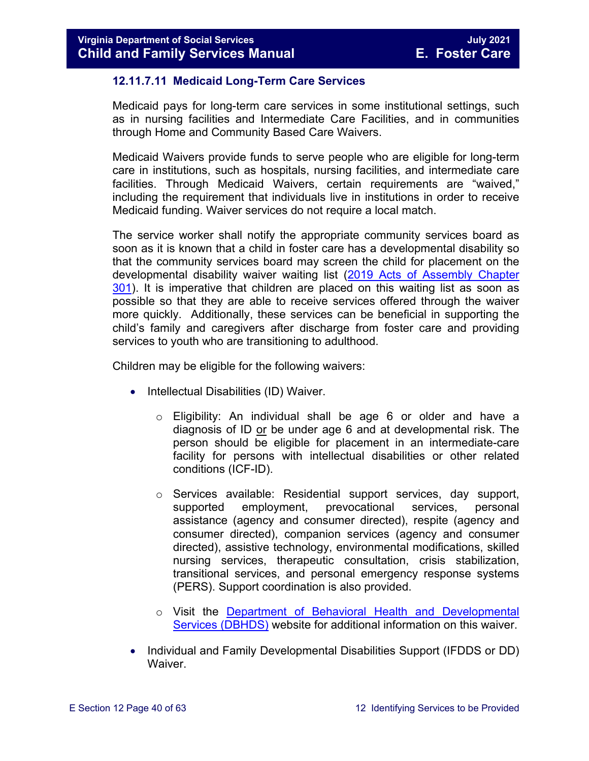#### **12.11.7.11 Medicaid Long-Term Care Services**

Medicaid pays for long-term care services in some institutional settings, such as in nursing facilities and Intermediate Care Facilities, and in communities through Home and Community Based Care Waivers.

Medicaid Waivers provide funds to serve people who are eligible for long-term care in institutions, such as hospitals, nursing facilities, and intermediate care facilities. Through Medicaid Waivers, certain requirements are "waived," including the requirement that individuals live in institutions in order to receive Medicaid funding. Waiver services do not require a local match.

The service worker shall notify the appropriate community services board as soon as it is known that a child in foster care has a developmental disability so that the community services board may screen the child for placement on the developmental disability waiver waiting list [\(2019 Acts of Assembly Chapter](http://lis.virginia.gov/cgi-bin/legp604.exe?191+ful+CHAP0301)  [301\)](http://lis.virginia.gov/cgi-bin/legp604.exe?191+ful+CHAP0301). It is imperative that children are placed on this waiting list as soon as possible so that they are able to receive services offered through the waiver more quickly. Additionally, these services can be beneficial in supporting the child's family and caregivers after discharge from foster care and providing services to youth who are transitioning to adulthood.

Children may be eligible for the following waivers:

- Intellectual Disabilities (ID) Waiver.
	- o Eligibility: An individual shall be age 6 or older and have a diagnosis of ID or be under age 6 and at developmental risk. The person should be eligible for placement in an intermediate-care facility for persons with intellectual disabilities or other related conditions (ICF-ID).
	- o Services available: Residential support services, day support,<br>supported employment, prevocational services, personal prevocational assistance (agency and consumer directed), respite (agency and consumer directed), companion services (agency and consumer directed), assistive technology, environmental modifications, skilled nursing services, therapeutic consultation, crisis stabilization, transitional services, and personal emergency response systems (PERS). Support coordination is also provided.
	- o Visit the [Department of Behavioral Health and Developmental](http://www.dbhds.virginia.gov/)  [Services \(DBHDS\)](http://www.dbhds.virginia.gov/) website for additional information on this waiver.
- Individual and Family Developmental Disabilities Support (IFDDS or DD) Waiver.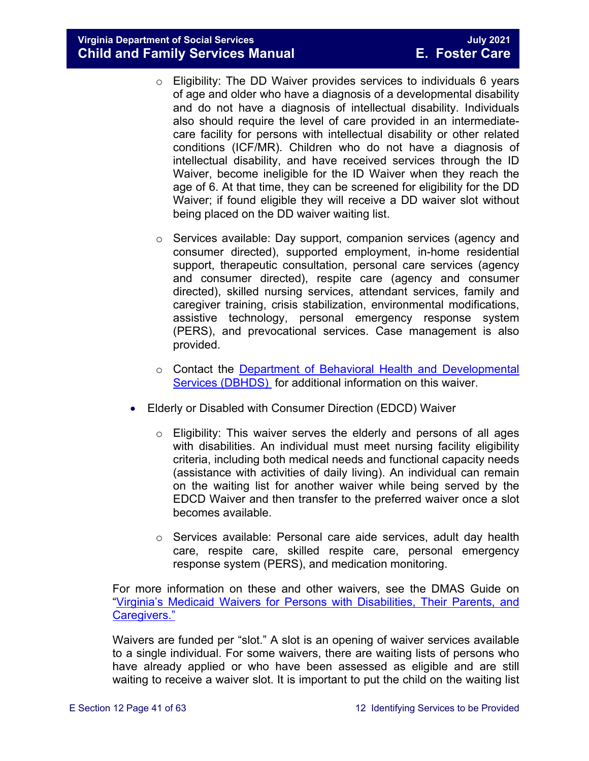**Virginia Department of Social Services July 2021 Child and Family Services Manual** 

- $\circ$  Eligibility: The DD Waiver provides services to individuals 6 years of age and older who have a diagnosis of a developmental disability and do not have a diagnosis of intellectual disability. Individuals also should require the level of care provided in an intermediatecare facility for persons with intellectual disability or other related conditions (ICF/MR). Children who do not have a diagnosis of intellectual disability, and have received services through the ID Waiver, become ineligible for the ID Waiver when they reach the age of 6. At that time, they can be screened for eligibility for the DD Waiver; if found eligible they will receive a DD waiver slot without being placed on the DD waiver waiting list.
- $\circ$  Services available: Day support, companion services (agency and consumer directed), supported employment, in-home residential support, therapeutic consultation, personal care services (agency and consumer directed), respite care (agency and consumer directed), skilled nursing services, attendant services, family and caregiver training, crisis stabilization, environmental modifications, assistive technology, personal emergency response system (PERS), and prevocational services. Case management is also provided.
- o Contact the Department of Behavioral [Health and Developmental](http://www.dbhds.virginia.gov/)  [Services \(DBHDS\)](http://www.dbhds.virginia.gov/) for additional information on this waiver.
- Elderly or Disabled with Consumer Direction (EDCD) Waiver
	- o Eligibility: This waiver serves the elderly and persons of all ages with disabilities. An individual must meet nursing facility eligibility criteria, including both medical needs and functional capacity needs (assistance with activities of daily living). An individual can remain on the waiting list for another waiver while being served by the EDCD Waiver and then transfer to the preferred waiver once a slot becomes available.
	- o Services available: Personal care aide services, adult day health care, respite care, skilled respite care, personal emergency response system (PERS), and medication monitoring.

For more information on these and other waivers, see the DMAS Guide on ["Virginia's Medicaid Waivers for Persons with Disabilities, Their Parents, and](http://www.dmas.virginia.gov/Content_pgs/ltc-home.aspx)  [Caregivers."](http://www.dmas.virginia.gov/Content_pgs/ltc-home.aspx)

Waivers are funded per "slot." A slot is an opening of waiver services available to a single individual. For some waivers, there are waiting lists of persons who have already applied or who have been assessed as eligible and are still waiting to receive a waiver slot. It is important to put the child on the waiting list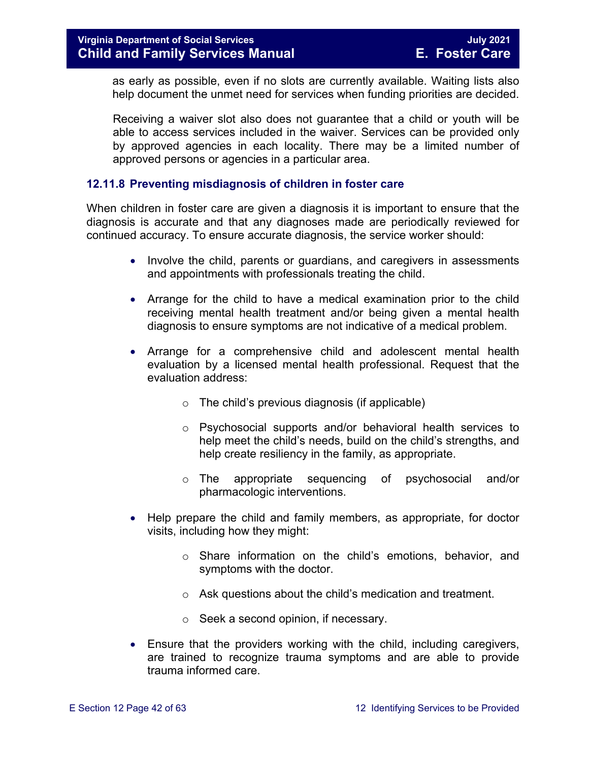as early as possible, even if no slots are currently available. Waiting lists also help document the unmet need for services when funding priorities are decided.

Receiving a waiver slot also does not guarantee that a child or youth will be able to access services included in the waiver. Services can be provided only by approved agencies in each locality. There may be a limited number of approved persons or agencies in a particular area.

#### <span id="page-41-0"></span>**12.11.8 Preventing misdiagnosis of children in foster care**

When children in foster care are given a diagnosis it is important to ensure that the diagnosis is accurate and that any diagnoses made are periodically reviewed for continued accuracy. To ensure accurate diagnosis, the service worker should:

- Involve the child, parents or guardians, and caregivers in assessments and appointments with professionals treating the child.
- Arrange for the child to have a medical examination prior to the child receiving mental health treatment and/or being given a mental health diagnosis to ensure symptoms are not indicative of a medical problem.
- Arrange for a comprehensive child and adolescent mental health evaluation by a licensed mental health professional. Request that the evaluation address:
	- $\circ$  The child's previous diagnosis (if applicable)
	- o Psychosocial supports and/or behavioral health services to help meet the child's needs, build on the child's strengths, and help create resiliency in the family, as appropriate.
	- o The appropriate sequencing of psychosocial and/or pharmacologic interventions.
- Help prepare the child and family members, as appropriate, for doctor visits, including how they might:
	- o Share information on the child's emotions, behavior, and symptoms with the doctor.
	- o Ask questions about the child's medication and treatment.
	- o Seek a second opinion, if necessary.
- Ensure that the providers working with the child, including caregivers, are trained to recognize trauma symptoms and are able to provide trauma informed care.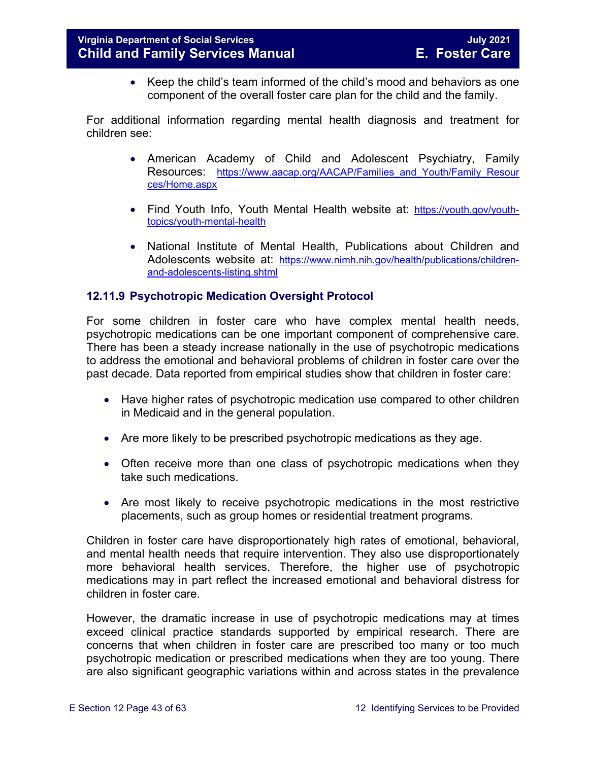• Keep the child's team informed of the child's mood and behaviors as one component of the overall foster care plan for the child and the family.

For additional information regarding mental health diagnosis and treatment for children see:

- American Academy of Child and Adolescent Psychiatry, Family Resources: https://www.aacap.org/AACAP/Families and Youth/Family Resour [ces/Home.aspx](https://www.aacap.org/AACAP/Families_and_Youth/Family_Resources/Home.aspx)
- Find Youth Info, Youth Mental Health website at: [https://youth.gov/youth](https://youth.gov/youth-topics/youth-mental-health)[topics/youth-mental-health](https://youth.gov/youth-topics/youth-mental-health)
- National Institute of Mental Health, Publications about Children and Adolescents website at: [https://www.nimh.nih.gov/health/publications/children](https://www.nimh.nih.gov/health/publications/children-and-adolescents-listing.shtml)[and-adolescents-listing.shtml](https://www.nimh.nih.gov/health/publications/children-and-adolescents-listing.shtml)

#### <span id="page-42-0"></span>**12.11.9 Psychotropic Medication Oversight Protocol**

For some children in foster care who have complex mental health needs, psychotropic medications can be one important component of comprehensive care. There has been a steady increase nationally in the use of psychotropic medications to address the emotional and behavioral problems of children in foster care over the past decade. Data reported from empirical studies show that children in foster care:

- Have higher rates of psychotropic medication use compared to other children in Medicaid and in the general population.
- Are more likely to be prescribed psychotropic medications as they age.
- Often receive more than one class of psychotropic medications when they take such medications.
- Are most likely to receive psychotropic medications in the most restrictive placements, such as group homes or residential treatment programs.

Children in foster care have disproportionately high rates of emotional, behavioral, and mental health needs that require intervention. They also use disproportionately more behavioral health services. Therefore, the higher use of psychotropic medications may in part reflect the increased emotional and behavioral distress for children in foster care.

However, the dramatic increase in use of psychotropic medications may at times exceed clinical practice standards supported by empirical research. There are concerns that when children in foster care are prescribed too many or too much psychotropic medication or prescribed medications when they are too young. There are also significant geographic variations within and across states in the prevalence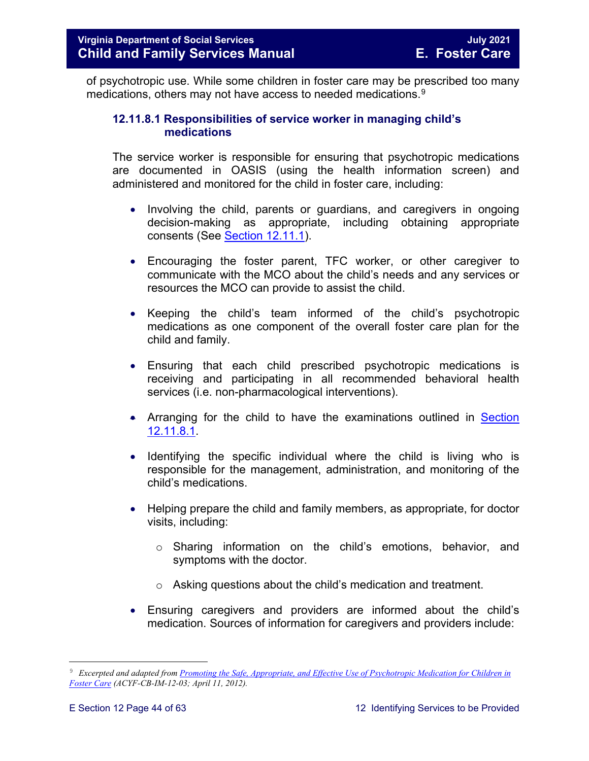of psychotropic use. While some children in foster care may be prescribed too many medications, others may not have access to needed medications. $^9$  $^9$ 

#### **12.11.8.1 Responsibilities of service worker in managing child's medications**

The service worker is responsible for ensuring that psychotropic medications are documented in OASIS (using the health information screen) and administered and monitored for the child in foster care, including:

- Involving the child, parents or guardians, and caregivers in ongoing decision-making as appropriate, including obtaining appropriate consents (See [Section 12.11.1\)](#page-23-1).
- Encouraging the foster parent, TFC worker, or other caregiver to communicate with the MCO about the child's needs and any services or resources the MCO can provide to assist the child.
- Keeping the child's team informed of the child's psychotropic medications as one component of the overall foster care plan for the child and family.
- Ensuring that each child prescribed psychotropic medications is receiving and participating in all recommended behavioral health services (i.e. non-pharmacological interventions).
- Arranging for the child to have the examinations outlined in Section [12.11.8.1.](#page-46-0)
- Identifying the specific individual where the child is living who is responsible for the management, administration, and monitoring of the child's medications.
- Helping prepare the child and family members, as appropriate, for doctor visits, including:
	- o Sharing information on the child's emotions, behavior, and symptoms with the doctor.
	- o Asking questions about the child's medication and treatment.
- Ensuring caregivers and providers are informed about the child's medication. Sources of information for caregivers and providers include:

<span id="page-43-0"></span>Ĩ. 9 *Excerpted and adapted from [Promoting the Safe, Appropriate, and Effective Use of Psychotropic Medication for Children in](http://www.acf.hhs.gov/sites/default/files/cb/im1203.pdf)  [Foster Care](http://www.acf.hhs.gov/sites/default/files/cb/im1203.pdf) (ACYF-CB-IM-12-03; April 11, 2012).*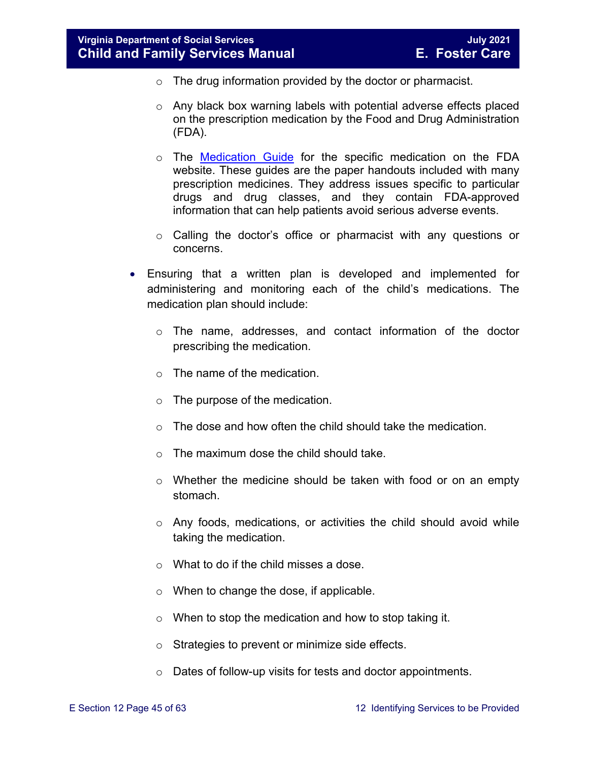- o The drug information provided by the doctor or pharmacist.
- o Any black box warning labels with potential adverse effects placed on the prescription medication by the Food and Drug Administration (FDA).
- o The [Medication Guide](http://www.fda.gov/Drugs/DrugSafety/ucm085729.htm) for the specific medication on the FDA website. These guides are the paper handouts included with many prescription medicines. They address issues specific to particular drugs and drug classes, and they contain FDA-approved information that can help patients avoid serious adverse events.
- o Calling the doctor's office or pharmacist with any questions or concerns.
- Ensuring that a written plan is developed and implemented for administering and monitoring each of the child's medications. The medication plan should include:
	- o The name, addresses, and contact information of the doctor prescribing the medication.
	- o The name of the medication.
	- $\circ$  The purpose of the medication.
	- o The dose and how often the child should take the medication.
	- o The maximum dose the child should take.
	- o Whether the medicine should be taken with food or on an empty stomach.
	- o Any foods, medications, or activities the child should avoid while taking the medication.
	- o What to do if the child misses a dose.
	- o When to change the dose, if applicable.
	- o When to stop the medication and how to stop taking it.
	- o Strategies to prevent or minimize side effects.
	- o Dates of follow-up visits for tests and doctor appointments.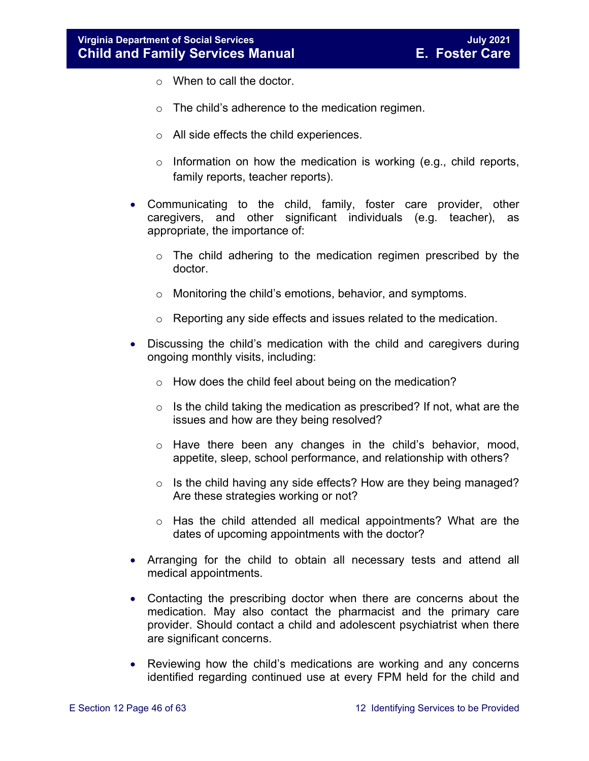- o When to call the doctor.
- o The child's adherence to the medication regimen.
- o All side effects the child experiences.
- $\circ$  Information on how the medication is working (e.g., child reports, family reports, teacher reports).
- Communicating to the child, family, foster care provider, other caregivers, and other significant individuals (e.g. teacher), as appropriate, the importance of:
	- o The child adhering to the medication regimen prescribed by the doctor.
	- o Monitoring the child's emotions, behavior, and symptoms.
	- o Reporting any side effects and issues related to the medication.
- Discussing the child's medication with the child and caregivers during ongoing monthly visits, including:
	- o How does the child feel about being on the medication?
	- $\circ$  Is the child taking the medication as prescribed? If not, what are the issues and how are they being resolved?
	- o Have there been any changes in the child's behavior, mood, appetite, sleep, school performance, and relationship with others?
	- o Is the child having any side effects? How are they being managed? Are these strategies working or not?
	- $\circ$  Has the child attended all medical appointments? What are the dates of upcoming appointments with the doctor?
- Arranging for the child to obtain all necessary tests and attend all medical appointments.
- Contacting the prescribing doctor when there are concerns about the medication. May also contact the pharmacist and the primary care provider. Should contact a child and adolescent psychiatrist when there are significant concerns.
- Reviewing how the child's medications are working and any concerns identified regarding continued use at every FPM held for the child and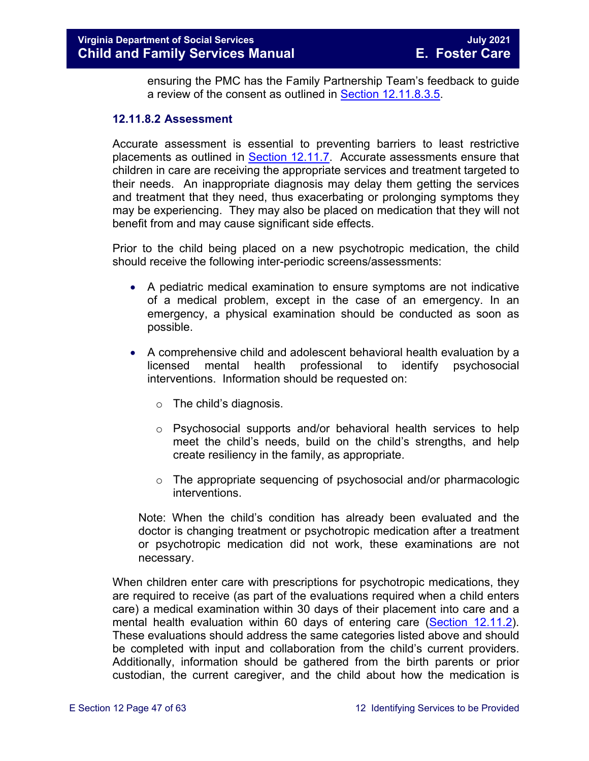ensuring the PMC has the Family Partnership Team's feedback to guide a review of the consent as outlined in [Section 12.11.8.3.5.](#page-51-0)

#### <span id="page-46-0"></span>**12.11.8.2 Assessment**

Accurate assessment is essential to preventing barriers to least restrictive placements as outlined in **Section 12.11.7**. Accurate assessments ensure that children in care are receiving the appropriate services and treatment targeted to their needs. An inappropriate diagnosis may delay them getting the services and treatment that they need, thus exacerbating or prolonging symptoms they may be experiencing. They may also be placed on medication that they will not benefit from and may cause significant side effects.

Prior to the child being placed on a new psychotropic medication, the child should receive the following inter-periodic screens/assessments:

- A pediatric medical examination to ensure symptoms are not indicative of a medical problem, except in the case of an emergency. In an emergency, a physical examination should be conducted as soon as possible.
- A comprehensive child and adolescent behavioral health evaluation by a licensed mental health professional to identify psychosocial interventions. Information should be requested on:
	- o The child's diagnosis.
	- o Psychosocial supports and/or behavioral health services to help meet the child's needs, build on the child's strengths, and help create resiliency in the family, as appropriate.
	- o The appropriate sequencing of psychosocial and/or pharmacologic interventions.

Note: When the child's condition has already been evaluated and the doctor is changing treatment or psychotropic medication after a treatment or psychotropic medication did not work, these examinations are not necessary.

When children enter care with prescriptions for psychotropic medications, they are required to receive (as part of the evaluations required when a child enters care) a medical examination within 30 days of their placement into care and a mental health evaluation within 60 days of entering care [\(Section 12.11.2\)](#page-25-0). These evaluations should address the same categories listed above and should be completed with input and collaboration from the child's current providers. Additionally, information should be gathered from the birth parents or prior custodian, the current caregiver, and the child about how the medication is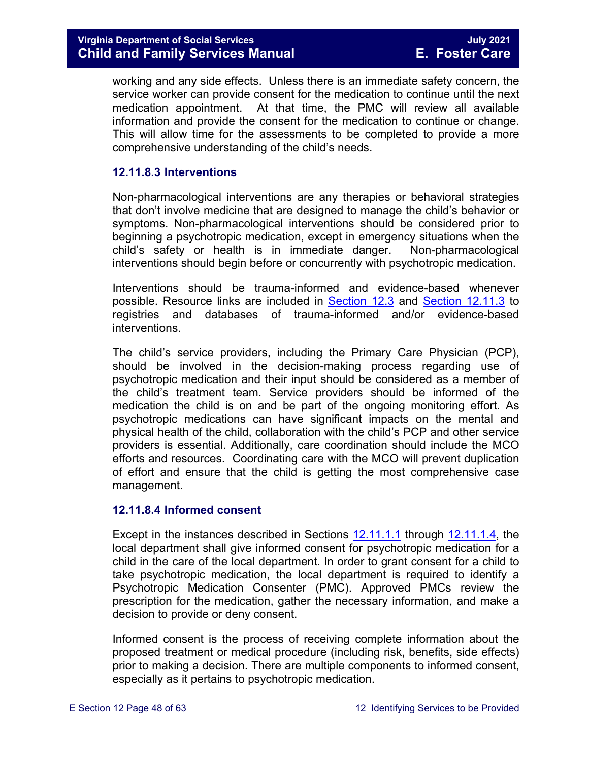working and any side effects. Unless there is an immediate safety concern, the service worker can provide consent for the medication to continue until the next medication appointment. At that time, the PMC will review all available information and provide the consent for the medication to continue or change. This will allow time for the assessments to be completed to provide a more comprehensive understanding of the child's needs.

#### **12.11.8.3 Interventions**

Non-pharmacological interventions are any therapies or behavioral strategies that don't involve medicine that are designed to manage the child's behavior or symptoms. Non-pharmacological interventions should be considered prior to beginning a psychotropic medication, except in emergency situations when the child's safety or health is in immediate danger. Non-pharmacological interventions should begin before or concurrently with psychotropic medication.

Interventions should be trauma-informed and evidence-based whenever possible. Resource links are included in [Section 12.3](#page-6-2) and [Section 12.11.3](#page-27-1) to registries and databases of trauma-informed and/or evidence-based interventions.

The child's service providers, including the Primary Care Physician (PCP), should be involved in the decision-making process regarding use of psychotropic medication and their input should be considered as a member of the child's treatment team. Service providers should be informed of the medication the child is on and be part of the ongoing monitoring effort. As psychotropic medications can have significant impacts on the mental and physical health of the child, collaboration with the child's PCP and other service providers is essential. Additionally, care coordination should include the MCO efforts and resources. Coordinating care with the MCO will prevent duplication of effort and ensure that the child is getting the most comprehensive case management.

#### **12.11.8.4 Informed consent**

Except in the instances described in Sections [12.11.1.1](#page-24-0) through [12.11.1.4,](#page-24-1) the local department shall give informed consent for psychotropic medication for a child in the care of the local department. In order to grant consent for a child to take psychotropic medication, the local department is required to identify a Psychotropic Medication Consenter (PMC). Approved PMCs review the prescription for the medication, gather the necessary information, and make a decision to provide or deny consent.

Informed consent is the process of receiving complete information about the proposed treatment or medical procedure (including risk, benefits, side effects) prior to making a decision. There are multiple components to informed consent, especially as it pertains to psychotropic medication.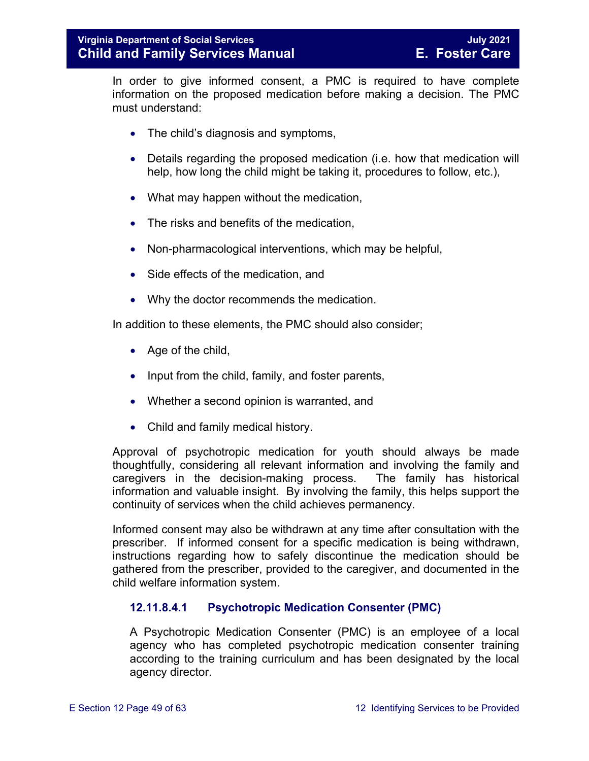In order to give informed consent, a PMC is required to have complete information on the proposed medication before making a decision. The PMC must understand:

- The child's diagnosis and symptoms,
- Details regarding the proposed medication (i.e. how that medication will help, how long the child might be taking it, procedures to follow, etc.),
- What may happen without the medication,
- The risks and benefits of the medication.
- Non-pharmacological interventions, which may be helpful,
- Side effects of the medication, and
- Why the doctor recommends the medication.

In addition to these elements, the PMC should also consider;

- Age of the child.
- Input from the child, family, and foster parents,
- Whether a second opinion is warranted, and
- Child and family medical history.

Approval of psychotropic medication for youth should always be made thoughtfully, considering all relevant information and involving the family and caregivers in the decision-making process. The family has historical information and valuable insight. By involving the family, this helps support the continuity of services when the child achieves permanency.

Informed consent may also be withdrawn at any time after consultation with the prescriber. If informed consent for a specific medication is being withdrawn, instructions regarding how to safely discontinue the medication should be gathered from the prescriber, provided to the caregiver, and documented in the child welfare information system.

#### <span id="page-48-0"></span>**12.11.8.4.1 Psychotropic Medication Consenter (PMC)**

A Psychotropic Medication Consenter (PMC) is an employee of a local agency who has completed psychotropic medication consenter training according to the training curriculum and has been designated by the local agency director.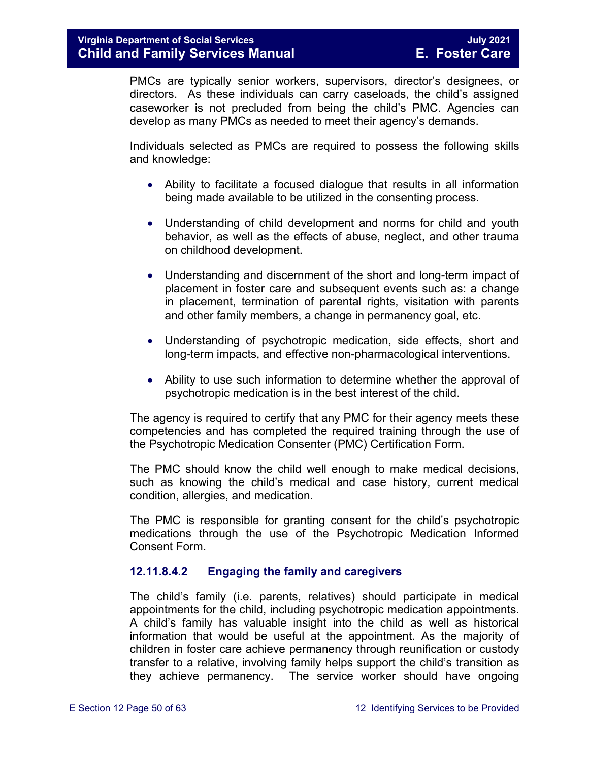PMCs are typically senior workers, supervisors, director's designees, or directors. As these individuals can carry caseloads, the child's assigned caseworker is not precluded from being the child's PMC. Agencies can develop as many PMCs as needed to meet their agency's demands.

Individuals selected as PMCs are required to possess the following skills and knowledge:

- Ability to facilitate a focused dialogue that results in all information being made available to be utilized in the consenting process.
- Understanding of child development and norms for child and youth behavior, as well as the effects of abuse, neglect, and other trauma on childhood development.
- Understanding and discernment of the short and long-term impact of placement in foster care and subsequent events such as: a change in placement, termination of parental rights, visitation with parents and other family members, a change in permanency goal, etc.
- Understanding of psychotropic medication, side effects, short and long-term impacts, and effective non-pharmacological interventions.
- Ability to use such information to determine whether the approval of psychotropic medication is in the best interest of the child.

The agency is required to certify that any PMC for their agency meets these competencies and has completed the required training through the use of the Psychotropic Medication Consenter (PMC) Certification Form.

The PMC should know the child well enough to make medical decisions, such as knowing the child's medical and case history, current medical condition, allergies, and medication.

The PMC is responsible for granting consent for the child's psychotropic medications through the use of the Psychotropic Medication Informed Consent Form.

#### **12.11.8.4.2 Engaging the family and caregivers**

The child's family (i.e. parents, relatives) should participate in medical appointments for the child, including psychotropic medication appointments. A child's family has valuable insight into the child as well as historical information that would be useful at the appointment. As the majority of children in foster care achieve permanency through reunification or custody transfer to a relative, involving family helps support the child's transition as they achieve permanency. The service worker should have ongoing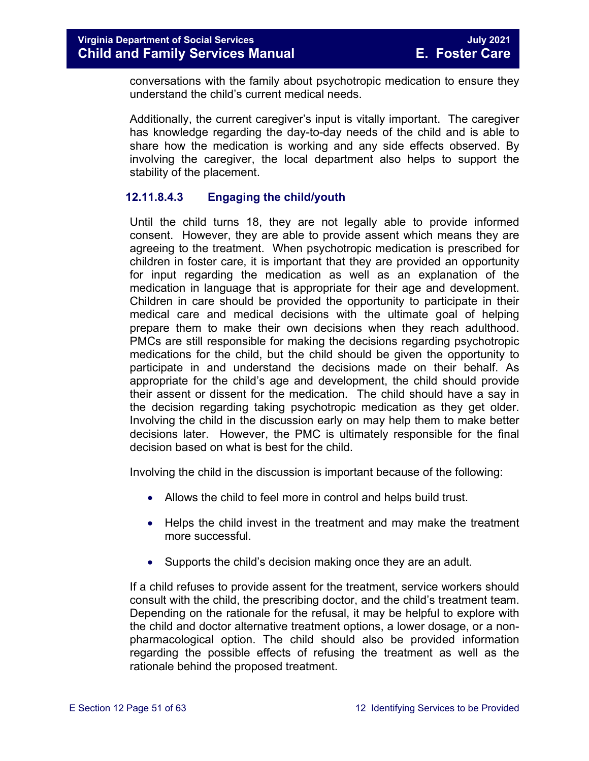conversations with the family about psychotropic medication to ensure they understand the child's current medical needs.

Additionally, the current caregiver's input is vitally important. The caregiver has knowledge regarding the day-to-day needs of the child and is able to share how the medication is working and any side effects observed. By involving the caregiver, the local department also helps to support the stability of the placement.

#### **12.11.8.4.3 Engaging the child/youth**

Until the child turns 18, they are not legally able to provide informed consent. However, they are able to provide assent which means they are agreeing to the treatment. When psychotropic medication is prescribed for children in foster care, it is important that they are provided an opportunity for input regarding the medication as well as an explanation of the medication in language that is appropriate for their age and development. Children in care should be provided the opportunity to participate in their medical care and medical decisions with the ultimate goal of helping prepare them to make their own decisions when they reach adulthood. PMCs are still responsible for making the decisions regarding psychotropic medications for the child, but the child should be given the opportunity to participate in and understand the decisions made on their behalf. As appropriate for the child's age and development, the child should provide their assent or dissent for the medication. The child should have a say in the decision regarding taking psychotropic medication as they get older. Involving the child in the discussion early on may help them to make better decisions later. However, the PMC is ultimately responsible for the final decision based on what is best for the child.

Involving the child in the discussion is important because of the following:

- Allows the child to feel more in control and helps build trust.
- Helps the child invest in the treatment and may make the treatment more successful.
- Supports the child's decision making once they are an adult.

If a child refuses to provide assent for the treatment, service workers should consult with the child, the prescribing doctor, and the child's treatment team. Depending on the rationale for the refusal, it may be helpful to explore with the child and doctor alternative treatment options, a lower dosage, or a nonpharmacological option. The child should also be provided information regarding the possible effects of refusing the treatment as well as the rationale behind the proposed treatment.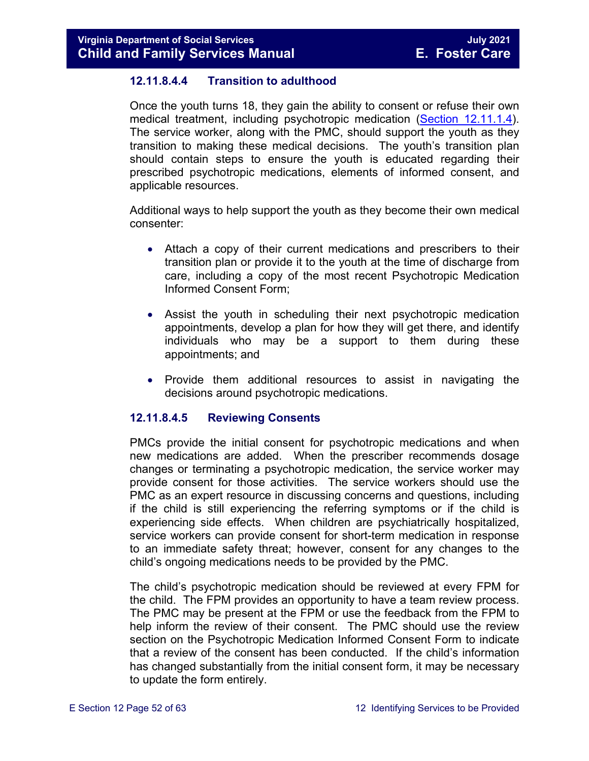#### **12.11.8.4.4 Transition to adulthood**

Once the youth turns 18, they gain the ability to consent or refuse their own medical treatment, including psychotropic medication [\(Section 12.11.1.4\)](#page-24-1). The service worker, along with the PMC, should support the youth as they transition to making these medical decisions. The youth's transition plan should contain steps to ensure the youth is educated regarding their prescribed psychotropic medications, elements of informed consent, and applicable resources.

Additional ways to help support the youth as they become their own medical consenter:

- Attach a copy of their current medications and prescribers to their transition plan or provide it to the youth at the time of discharge from care, including a copy of the most recent Psychotropic Medication Informed Consent Form;
- Assist the youth in scheduling their next psychotropic medication appointments, develop a plan for how they will get there, and identify individuals who may be a support to them during these appointments; and
- Provide them additional resources to assist in navigating the decisions around psychotropic medications.

#### <span id="page-51-0"></span>**12.11.8.4.5 Reviewing Consents**

PMCs provide the initial consent for psychotropic medications and when new medications are added. When the prescriber recommends dosage changes or terminating a psychotropic medication, the service worker may provide consent for those activities. The service workers should use the PMC as an expert resource in discussing concerns and questions, including if the child is still experiencing the referring symptoms or if the child is experiencing side effects. When children are psychiatrically hospitalized, service workers can provide consent for short-term medication in response to an immediate safety threat; however, consent for any changes to the child's ongoing medications needs to be provided by the PMC.

The child's psychotropic medication should be reviewed at every FPM for the child. The FPM provides an opportunity to have a team review process. The PMC may be present at the FPM or use the feedback from the FPM to help inform the review of their consent. The PMC should use the review section on the Psychotropic Medication Informed Consent Form to indicate that a review of the consent has been conducted. If the child's information has changed substantially from the initial consent form, it may be necessary to update the form entirely.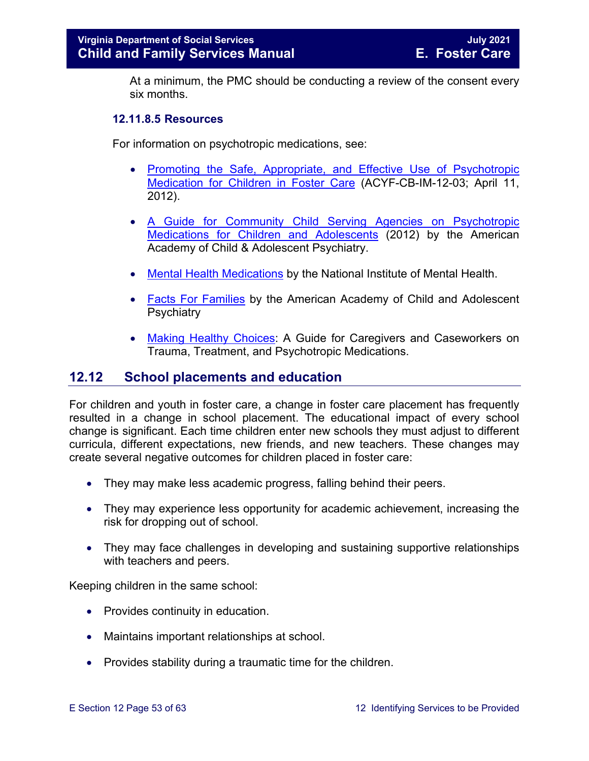At a minimum, the PMC should be conducting a review of the consent every six months.

#### **12.11.8.5 Resources**

For information on psychotropic medications, see:

- [Promoting the Safe, Appropriate, and Effective Use of](http://www.acf.hhs.gov/sites/default/files/cb/im1203.pdf) Psychotropic [Medication for Children in Foster Care](http://www.acf.hhs.gov/sites/default/files/cb/im1203.pdf) (ACYF-CB-IM-12-03; April 11, 2012).
- [A Guide for Community Child Serving Agencies on Psychotropic](http://www.aacap.org/App_Themes/AACAP/docs/press/guide_for_community_child_serving_agencies_on_psychotropic_medications_for_children_and_adolescents_2012.pdf)  [Medications for Children and Adolescents](http://www.aacap.org/App_Themes/AACAP/docs/press/guide_for_community_child_serving_agencies_on_psychotropic_medications_for_children_and_adolescents_2012.pdf) (2012) by the American Academy of Child & Adolescent Psychiatry.
- [Mental Health Medications](http://www.nimh.nih.gov/health/publications/mental-health-medications/nimh-mental-health-medications.pdf) by the National Institute of Mental Health.
- [Facts For Families](https://www.aacap.org/AACAP/Families_and_Youth/Facts_for_Families/Facts_for_families_Pages/Psychiatric_Medication_For_Children_And_Adolescents_Part_I_How_Medications_Are_Used_21.aspx) by the American Academy of Child and Adolescent **Psychiatry**
- <span id="page-52-0"></span>• [Making Healthy Choices:](https://www.childwelfare.gov/pubs/mhc-caregivers/) A Guide for Caregivers and Caseworkers on Trauma, Treatment, and Psychotropic Medications.

#### <span id="page-52-1"></span>**12.12 School placements and education**

For children and youth in foster care, a change in foster care placement has frequently resulted in a change in school placement. The educational impact of every school change is significant. Each time children enter new schools they must adjust to different curricula, different expectations, new friends, and new teachers. These changes may create several negative outcomes for children placed in foster care:

- They may make less academic progress, falling behind their peers.
- They may experience less opportunity for academic achievement, increasing the risk for dropping out of school.
- They may face challenges in developing and sustaining supportive relationships with teachers and peers.

Keeping children in the same school:

- Provides continuity in education.
- Maintains important relationships at school.
- Provides stability during a traumatic time for the children.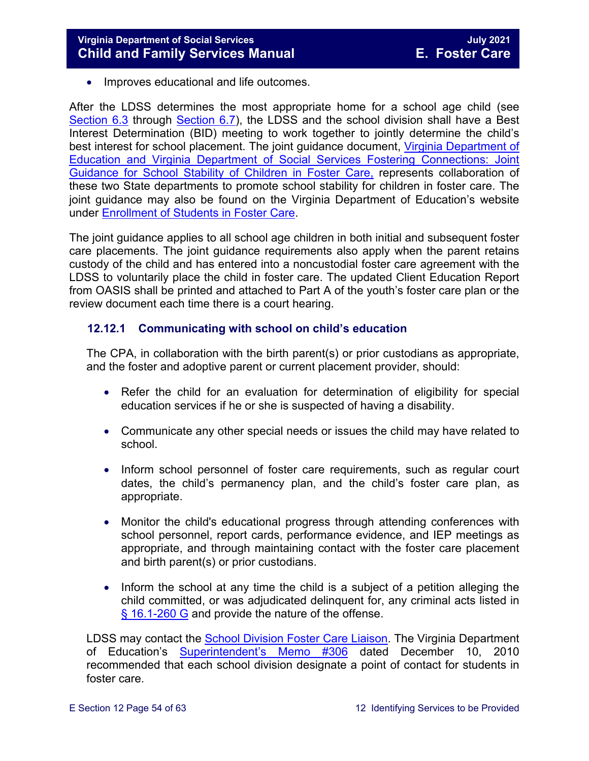• Improves educational and life outcomes.

After the LDSS determines the most appropriate home for a school age child (see [Section 6.3](https://fusion.dss.virginia.gov/Portals/%5bdfs%5d/Files/DFS%20Manuals/Foster%20Care%20Manuals/Foster%20Care%20Manual%2007-2020/Final%20Foster%20Care%20Manual%2007-2020/section_6_placement_to_achieve_permanency.pdf#page=10) through [Section 6.7\)](https://fusion.dss.virginia.gov/Portals/%5bdfs%5d/Files/DFS%20Manuals/Foster%20Care%20Manuals/Foster%20Care%20Manual%2007-2020/Final%20Foster%20Care%20Manual%2007-2020/section_6_placement_to_achieve_permanency.pdf#page=17), the LDSS and the school division shall have a Best Interest Determination (BID) meeting to work together to jointly determine the child's best interest for school placement. The joint guidance document, [Virginia Department of](https://fusion.dss.virginia.gov/Portals/%5Bdfs%5D/Files/Foster%20Care/Joint%20Guidance/VDOE%20VDSS%20-%20Joint%20Guidance%20for%20School%20Stability%20of%20Children%20Youth%20in%20FC.pdf)  [Education and Virginia Department of Social Services Fostering Connections: Joint](https://fusion.dss.virginia.gov/Portals/%5Bdfs%5D/Files/Foster%20Care/Joint%20Guidance/VDOE%20VDSS%20-%20Joint%20Guidance%20for%20School%20Stability%20of%20Children%20Youth%20in%20FC.pdf)  [Guidance for School Stability of Children in Foster Care,](https://fusion.dss.virginia.gov/Portals/%5Bdfs%5D/Files/Foster%20Care/Joint%20Guidance/VDOE%20VDSS%20-%20Joint%20Guidance%20for%20School%20Stability%20of%20Children%20Youth%20in%20FC.pdf) represents collaboration of these two State departments to promote school stability for children in foster care. The joint guidance may also be found on the Virginia Department of Education's website under [Enrollment of Students in Foster Care.](http://www.doe.virginia.gov/support/student_family/foster_care_students/index.shtml)

The joint guidance applies to all school age children in both initial and subsequent foster care placements. The joint guidance requirements also apply when the parent retains custody of the child and has entered into a noncustodial foster care agreement with the LDSS to voluntarily place the child in foster care. The updated Client Education Report from OASIS shall be printed and attached to Part A of the youth's foster care plan or the review document each time there is a court hearing.

#### <span id="page-53-0"></span>**12.12.1 Communicating with school on child's education**

The CPA, in collaboration with the birth parent(s) or prior custodians as appropriate, and the foster and adoptive parent or current placement provider, should:

- Refer the child for an evaluation for determination of eligibility for special education services if he or she is suspected of having a disability.
- Communicate any other special needs or issues the child may have related to school.
- Inform school personnel of foster care requirements, such as regular court dates, the child's permanency plan, and the child's foster care plan, as appropriate.
- Monitor the child's educational progress through attending conferences with school personnel, report cards, performance evidence, and IEP meetings as appropriate, and through maintaining contact with the foster care placement and birth parent(s) or prior custodians.
- Inform the school at any time the child is a subject of a petition alleging the child committed, or was adjudicated delinquent for, any criminal acts listed in [§ 16.1-260 G](https://law.lis.virginia.gov/vacode/16.1-260/) and provide the nature of the offense.

LDSS may contact the [School Division Foster Care Liaison.](http://www.doe.virginia.gov/support/student_family/foster_care_students/dss-lea-fostercare-liaison-list.xlsx) The Virginia Department of Education's [Superintendent's Memo #306](http://www.doe.virginia.gov/administrators/superintendents_memos/2010/306-10.shtml) dated December 10, 2010 recommended that each school division designate a point of contact for students in foster care.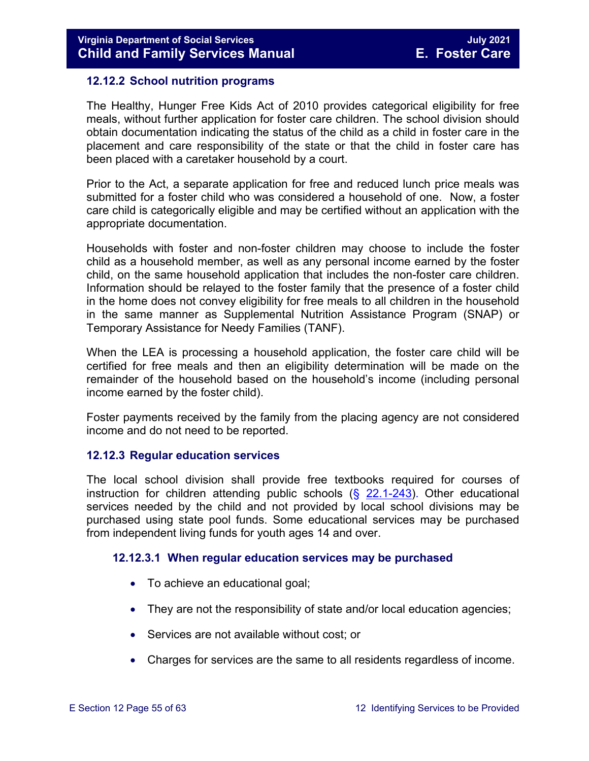#### <span id="page-54-0"></span>**12.12.2 School nutrition programs**

The Healthy, Hunger Free Kids Act of 2010 provides categorical eligibility for free meals, without further application for foster care children. The school division should obtain documentation indicating the status of the child as a child in foster care in the placement and care responsibility of the state or that the child in foster care has been placed with a caretaker household by a court.

Prior to the Act, a separate application for free and reduced lunch price meals was submitted for a foster child who was considered a household of one. Now, a foster care child is categorically eligible and may be certified without an application with the appropriate documentation.

Households with foster and non-foster children may choose to include the foster child as a household member, as well as any personal income earned by the foster child, on the same household application that includes the non-foster care children. Information should be relayed to the foster family that the presence of a foster child in the home does not convey eligibility for free meals to all children in the household in the same manner as Supplemental Nutrition Assistance Program (SNAP) or Temporary Assistance for Needy Families (TANF).

When the LEA is processing a household application, the foster care child will be certified for free meals and then an eligibility determination will be made on the remainder of the household based on the household's income (including personal income earned by the foster child).

Foster payments received by the family from the placing agency are not considered income and do not need to be reported.

#### <span id="page-54-1"></span>**12.12.3 Regular education services**

The local school division shall provide free textbooks required for courses of instruction for children attending public schools  $(\xi$  [22.1-243\)](https://law.lis.virginia.gov/vacode/22.1-243/). Other educational services needed by the child and not provided by local school divisions may be purchased using state pool funds. Some educational services may be purchased from independent living funds for youth ages 14 and over.

#### **12.12.3.1 When regular education services may be purchased**

- To achieve an educational goal;
- They are not the responsibility of state and/or local education agencies;
- Services are not available without cost; or
- Charges for services are the same to all residents regardless of income.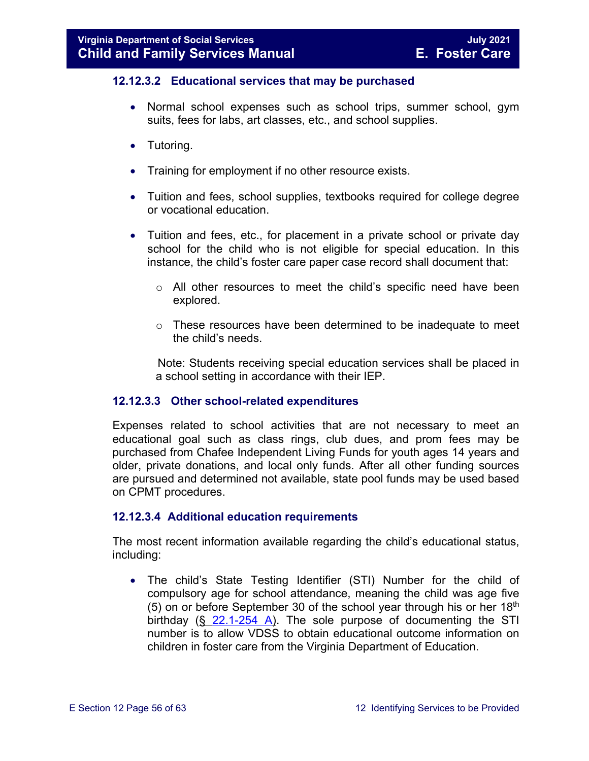#### **12.12.3.2 Educational services that may be purchased**

- Normal school expenses such as school trips, summer school, gym suits, fees for labs, art classes, etc., and school supplies.
- Tutoring.
- Training for employment if no other resource exists.
- Tuition and fees, school supplies, textbooks required for college degree or vocational education.
- Tuition and fees, etc., for placement in a private school or private day school for the child who is not eligible for special education. In this instance, the child's foster care paper case record shall document that:
	- $\circ$  All other resources to meet the child's specific need have been explored.
	- $\circ$  These resources have been determined to be inadequate to meet the child's needs.

 Note: Students receiving special education services shall be placed in a school setting in accordance with their IEP.

#### **12.12.3.3 Other school-related expenditures**

Expenses related to school activities that are not necessary to meet an educational goal such as class rings, club dues, and prom fees may be purchased from Chafee Independent Living Funds for youth ages 14 years and older, private donations, and local only funds. After all other funding sources are pursued and determined not available, state pool funds may be used based on CPMT procedures.

#### **12.12.3.4 Additional education requirements**

The most recent information available regarding the child's educational status, including:

• The child's State Testing Identifier (STI) Number for the child of compulsory age for school attendance, meaning the child was age five (5) on or before September 30 of the school year through his or her  $18<sup>th</sup>$ birthday  $(\S$  [22.1-254 A\)](https://law.lis.virginia.gov/vacode/22.1-254/). The sole purpose of documenting the STI number is to allow VDSS to obtain educational outcome information on children in foster care from the Virginia Department of Education.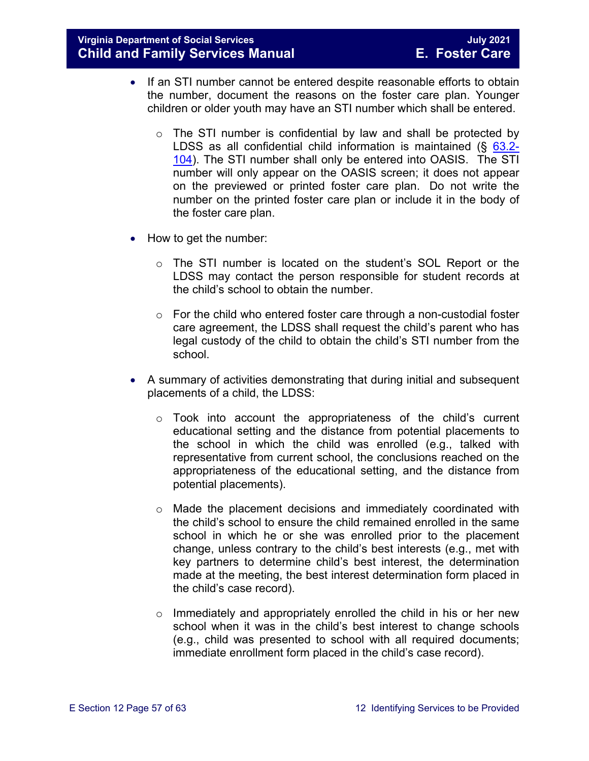- If an STI number cannot be entered despite reasonable efforts to obtain the number, document the reasons on the foster care plan. Younger children or older youth may have an STI number which shall be entered.
	- $\circ$  The STI number is confidential by law and shall be protected by LDSS as all confidential child information is maintained (§ [63.2-](https://law.lis.virginia.gov/vacode/63.2-104/) [104\)](https://law.lis.virginia.gov/vacode/63.2-104/). The STI number shall only be entered into OASIS. The STI number will only appear on the OASIS screen; it does not appear on the previewed or printed foster care plan. Do not write the number on the printed foster care plan or include it in the body of the foster care plan.
- How to get the number:
	- o The STI number is located on the student's SOL Report or the LDSS may contact the person responsible for student records at the child's school to obtain the number.
	- $\circ$  For the child who entered foster care through a non-custodial foster care agreement, the LDSS shall request the child's parent who has legal custody of the child to obtain the child's STI number from the school.
- A summary of activities demonstrating that during initial and subsequent placements of a child, the LDSS:
	- o Took into account the appropriateness of the child's current educational setting and the distance from potential placements to the school in which the child was enrolled (e.g., talked with representative from current school, the conclusions reached on the appropriateness of the educational setting, and the distance from potential placements).
	- $\circ$  Made the placement decisions and immediately coordinated with the child's school to ensure the child remained enrolled in the same school in which he or she was enrolled prior to the placement change, unless contrary to the child's best interests (e.g., met with key partners to determine child's best interest, the determination made at the meeting, the best interest determination form placed in the child's case record).
	- o Immediately and appropriately enrolled the child in his or her new school when it was in the child's best interest to change schools (e.g., child was presented to school with all required documents; immediate enrollment form placed in the child's case record).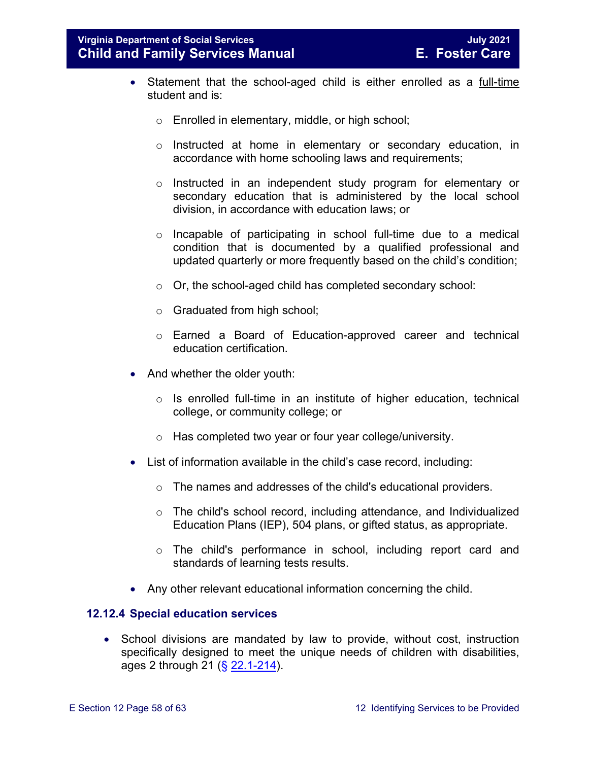- Statement that the school-aged child is either enrolled as a full-time student and is:
	- o Enrolled in elementary, middle, or high school;
	- $\circ$  Instructed at home in elementary or secondary education, in accordance with home schooling laws and requirements;
	- o Instructed in an independent study program for elementary or secondary education that is administered by the local school division, in accordance with education laws; or
	- o Incapable of participating in school full-time due to a medical condition that is documented by a qualified professional and updated quarterly or more frequently based on the child's condition;
	- o Or, the school-aged child has completed secondary school:
	- o Graduated from high school;
	- o Earned a Board of Education-approved career and technical education certification.
- And whether the older youth:
	- $\circ$  Is enrolled full-time in an institute of higher education, technical college, or community college; or
	- o Has completed two year or four year college/university.
- List of information available in the child's case record, including:
	- o The names and addresses of the child's educational providers.
	- $\circ$  The child's school record, including attendance, and Individualized Education Plans (IEP), 504 plans, or gifted status, as appropriate.
	- o The child's performance in school, including report card and standards of learning tests results.
- Any other relevant educational information concerning the child.

#### <span id="page-57-0"></span>**12.12.4 Special education services**

• School divisions are mandated by law to provide, without cost, instruction specifically designed to meet the unique needs of children with disabilities, ages 2 through 21 (§ [22.1-214\)](https://law.lis.virginia.gov/vacode/22.1-214/).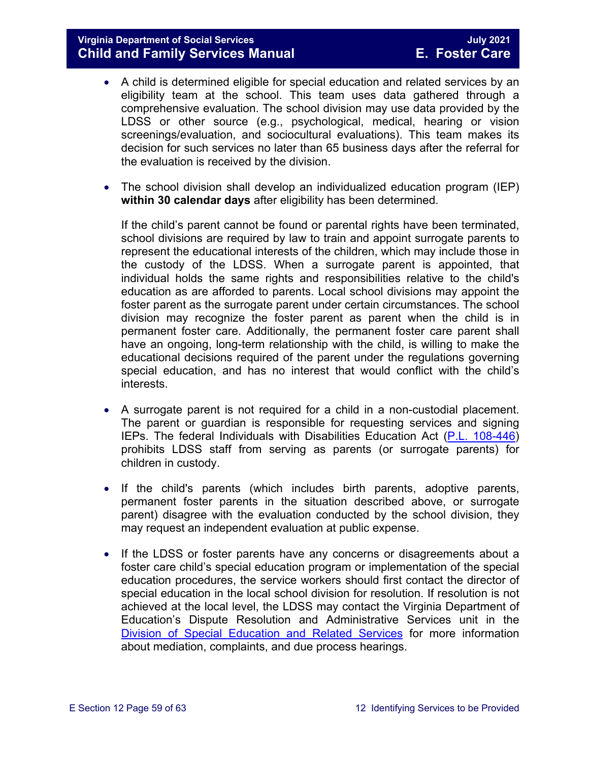- A child is determined eligible for special education and related services by an eligibility team at the school. This team uses data gathered through a comprehensive evaluation. The school division may use data provided by the LDSS or other source (e.g., psychological, medical, hearing or vision screenings/evaluation, and sociocultural evaluations). This team makes its decision for such services no later than 65 business days after the referral for the evaluation is received by the division.
- The school division shall develop an individualized education program (IEP) **within 30 calendar days** after eligibility has been determined.

If the child's parent cannot be found or parental rights have been terminated, school divisions are required by law to train and appoint surrogate parents to represent the educational interests of the children, which may include those in the custody of the LDSS. When a surrogate parent is appointed, that individual holds the same rights and responsibilities relative to the child's education as are afforded to parents. Local school divisions may appoint the foster parent as the surrogate parent under certain circumstances. The school division may recognize the foster parent as parent when the child is in permanent foster care. Additionally, the permanent foster care parent shall have an ongoing, long-term relationship with the child, is willing to make the educational decisions required of the parent under the regulations governing special education, and has no interest that would conflict with the child's interests.

- A surrogate parent is not required for a child in a non-custodial placement. The parent or guardian is responsible for requesting services and signing IEPs. The federal Individuals with Disabilities Education Act [\(P.L. 108-446\)](https://www.gpo.gov/fdsys/pkg/PLAW-108publ446) prohibits LDSS staff from serving as parents (or surrogate parents) for children in custody.
- If the child's parents (which includes birth parents, adoptive parents, permanent foster parents in the situation described above, or surrogate parent) disagree with the evaluation conducted by the school division, they may request an independent evaluation at public expense.
- If the LDSS or foster parents have any concerns or disagreements about a foster care child's special education program or implementation of the special education procedures, the service workers should first contact the director of special education in the local school division for resolution. If resolution is not achieved at the local level, the LDSS may contact the Virginia Department of Education's Dispute Resolution and Administrative Services unit in the [Division of Special Education and Related Services](http://www.doe.virginia.gov/special_ed/resolving_disputes/) for more information about mediation, complaints, and due process hearings.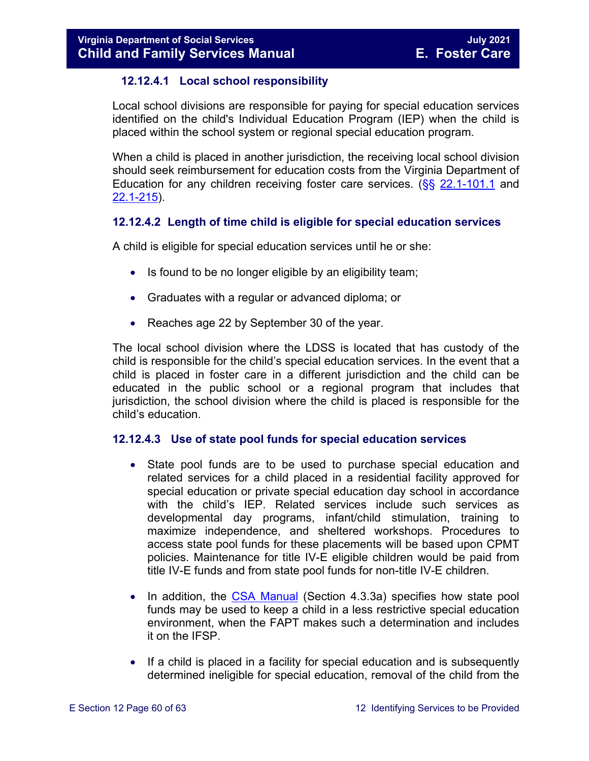#### **12.12.4.1 Local school responsibility**

Local school divisions are responsible for paying for special education services identified on the child's Individual Education Program (IEP) when the child is placed within the school system or regional special education program.

When a child is placed in another jurisdiction, the receiving local school division should seek reimbursement for education costs from the Virginia Department of Education for any children receiving foster care services. (§§ [22.1-101.1](https://law.lis.virginia.gov/vacode/22.1-101.1/) and [22.1-215\)](https://law.lis.virginia.gov/vacode/22.1-215/).

#### **12.12.4.2 Length of time child is eligible for special education services**

A child is eligible for special education services until he or she:

- Is found to be no longer eligible by an eligibility team;
- Graduates with a regular or advanced diploma; or
- Reaches age 22 by September 30 of the year.

The local school division where the LDSS is located that has custody of the child is responsible for the child's special education services. In the event that a child is placed in foster care in a different jurisdiction and the child can be educated in the public school or a regional program that includes that jurisdiction, the school division where the child is placed is responsible for the child's education.

#### **12.12.4.3 Use of state pool funds for special education services**

- State pool funds are to be used to purchase special education and related services for a child placed in a residential facility approved for special education or private special education day school in accordance with the child's IEP. Related services include such services as developmental day programs, infant/child stimulation, training to maximize independence, and sheltered workshops. Procedures to access state pool funds for these placements will be based upon CPMT policies. Maintenance for title IV-E eligible children would be paid from title IV-E funds and from state pool funds for non-title IV-E children.
- In addition, the [CSA Manual](http://www.csa.state.va.us/html/manual_pubs/csa_manual_publications.cfm) (Section 4.3.3a) specifies how state pool funds may be used to keep a child in a less restrictive special education environment, when the FAPT makes such a determination and includes it on the IFSP.
- If a child is placed in a facility for special education and is subsequently determined ineligible for special education, removal of the child from the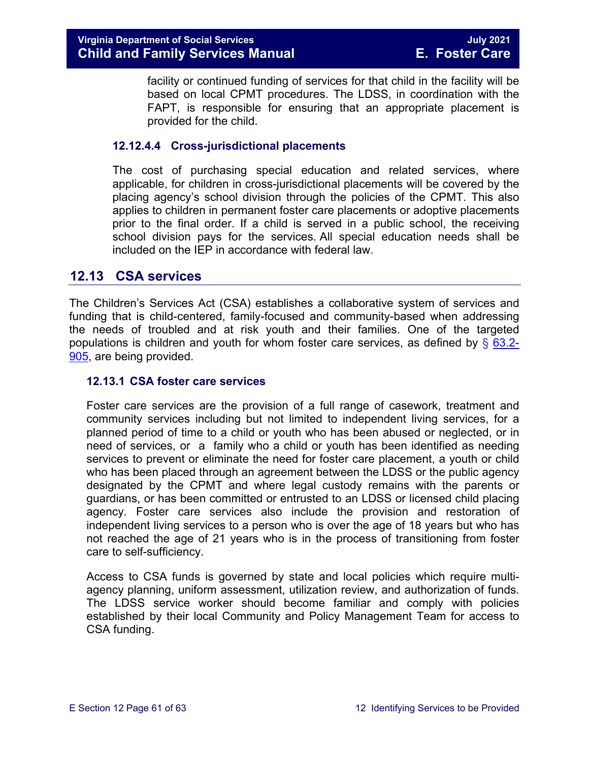facility or continued funding of services for that child in the facility will be based on local CPMT procedures. The LDSS, in coordination with the FAPT, is responsible for ensuring that an appropriate placement is provided for the child.

#### **12.12.4.4 Cross-jurisdictional placements**

The cost of purchasing special education and related services, where applicable, for children in cross-jurisdictional placements will be covered by the placing agency's school division through the policies of the CPMT. This also applies to children in permanent foster care placements or adoptive placements prior to the final order. If a child is served in a public school, the receiving school division pays for the services. All special education needs shall be included on the IEP in accordance with federal law.

#### <span id="page-60-0"></span>**12.13 CSA services**

The Children's Services Act (CSA) establishes a collaborative system of services and funding that is child-centered, family-focused and community-based when addressing the needs of troubled and at risk youth and their families. One of the targeted populations is children and youth for whom foster care services, as defined by  $\S$  [63.2-](https://law.lis.virginia.gov/vacode/63.2-905/) [905,](https://law.lis.virginia.gov/vacode/63.2-905/) are being provided.

#### <span id="page-60-1"></span>**12.13.1 CSA foster care services**

Foster care services are the provision of a full range of casework, treatment and community services including but not limited to independent living services, for a planned period of time to a child or youth who has been abused or neglected, or in need of services, or a family who a child or youth has been identified as needing services to prevent or eliminate the need for foster care placement, a youth or child who has been placed through an agreement between the LDSS or the public agency designated by the CPMT and where legal custody remains with the parents or guardians, or has been committed or entrusted to an LDSS or licensed child placing agency. Foster care services also include the provision and restoration of independent living services to a person who is over the age of 18 years but who has not reached the age of 21 years who is in the process of transitioning from foster care to self-sufficiency.

Access to CSA funds is governed by state and local policies which require multiagency planning, uniform assessment, utilization review, and authorization of funds. The LDSS service worker should become familiar and comply with policies established by their local Community and Policy Management Team for access to CSA funding.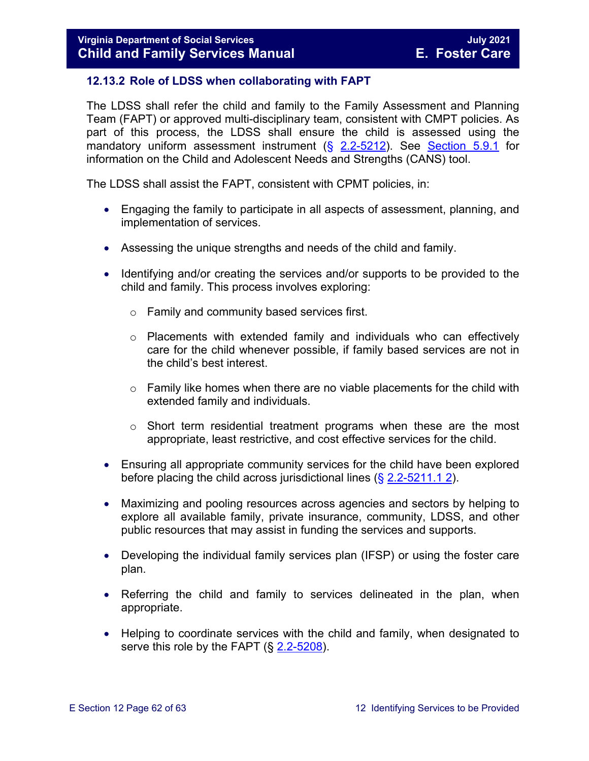#### <span id="page-61-0"></span>**12.13.2 Role of LDSS when collaborating with FAPT**

The LDSS shall refer the child and family to the Family Assessment and Planning Team (FAPT) or approved multi-disciplinary team, consistent with CMPT policies. As part of this process, the LDSS shall ensure the child is assessed using the mandatory uniform assessment instrument (§ [2.2-5212\)](https://law.lis.virginia.gov/vacode/2.2-5212/). See [Section 5.9.1](https://fusion.dss.virginia.gov/Portals/%5bdfs%5d/Files/DFS%20Manuals/Foster%20Care%20Manuals/Foster%20Care%20Manual%2007-2020/Final%20Foster%20Care%20Manual%2007-2020/section_5_conducting_child_and_family_assessment.pdf#page=18) for information on the Child and Adolescent Needs and Strengths (CANS) tool.

The LDSS shall assist the FAPT, consistent with CPMT policies, in:

- Engaging the family to participate in all aspects of assessment, planning, and implementation of services.
- Assessing the unique strengths and needs of the child and family.
- Identifying and/or creating the services and/or supports to be provided to the child and family. This process involves exploring:
	- o Family and community based services first.
	- $\circ$  Placements with extended family and individuals who can effectively care for the child whenever possible, if family based services are not in the child's best interest.
	- $\circ$  Family like homes when there are no viable placements for the child with extended family and individuals.
	- $\circ$  Short term residential treatment programs when these are the most appropriate, least restrictive, and cost effective services for the child.
- Ensuring all appropriate community services for the child have been explored before placing the child across jurisdictional lines  $(\S 2.2 - 5211.1 2)$ .
- Maximizing and pooling resources across agencies and sectors by helping to explore all available family, private insurance, community, LDSS, and other public resources that may assist in funding the services and supports.
- Developing the individual family services plan (IFSP) or using the foster care plan.
- Referring the child and family to services delineated in the plan, when appropriate.
- Helping to coordinate services with the child and family, when designated to serve this role by the FAPT (§ [2.2-5208\)](https://law.lis.virginia.gov/vacode/2.2-5208/).